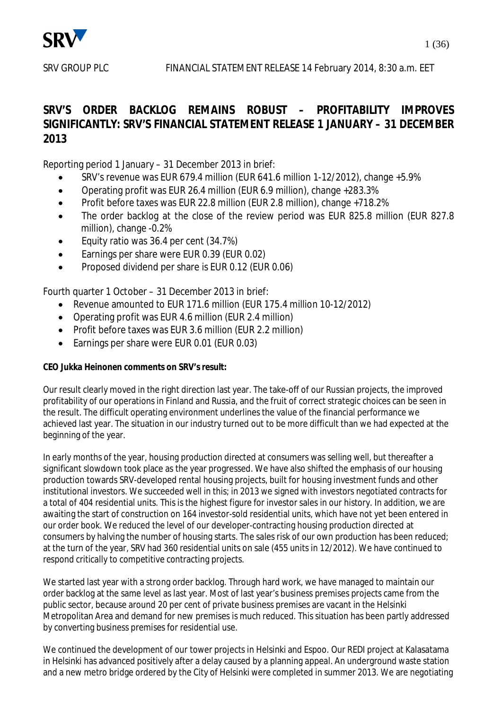

**SRV'S ORDER BACKLOG REMAINS ROBUST – PROFITABILITY IMPROVES SIGNIFICANTLY: SRV'S FINANCIAL STATEMENT RELEASE 1 JANUARY – 31 DECEMBER 2013** 

Reporting period 1 January – 31 December 2013 in brief:

- x SRV's revenue was EUR 679.4 million (EUR 641.6 million 1-12/2012), change +5.9%
- Operating profit was EUR 26.4 million (EUR 6.9 million), change +283.3%
- x Profit before taxes was EUR 22.8 million (EUR 2.8 million), change +718.2%
- The order backlog at the close of the review period was EUR 825.8 million (EUR 827.8 million), change -0.2%
- Equity ratio was 36.4 per cent (34.7%)
- **Earnings per share were EUR 0.39 (EUR 0.02)**
- Proposed dividend per share is EUR 0.12 (EUR 0.06)

Fourth quarter 1 October – 31 December 2013 in brief:

- Revenue amounted to EUR 171.6 million (EUR 175.4 million 10-12/2012)
- Operating profit was EUR 4.6 million (EUR 2.4 million)
- Profit before taxes was EUR 3.6 million (EUR 2.2 million)
- Earnings per share were EUR 0.01 (EUR 0.03)

**CEO Jukka Heinonen comments on SRV's result:** 

Our result clearly moved in the right direction last year. The take-off of our Russian projects, the improved profitability of our operations in Finland and Russia, and the fruit of correct strategic choices can be seen in the result. The difficult operating environment underlines the value of the financial performance we achieved last year. The situation in our industry turned out to be more difficult than we had expected at the beginning of the year.

In early months of the year, housing production directed at consumers was selling well, but thereafter a significant slowdown took place as the year progressed. We have also shifted the emphasis of our housing production towards SRV-developed rental housing projects, built for housing investment funds and other institutional investors. We succeeded well in this; in 2013 we signed with investors negotiated contracts for a total of 404 residential units. This is the highest figure for investor sales in our history. In addition, we are awaiting the start of construction on 164 investor-sold residential units, which have not yet been entered in our order book. We reduced the level of our developer-contracting housing production directed at consumers by halving the number of housing starts. The sales risk of our own production has been reduced; at the turn of the year, SRV had 360 residential units on sale (455 units in 12/2012). We have continued to respond critically to competitive contracting projects.

We started last year with a strong order backlog. Through hard work, we have managed to maintain our order backlog at the same level as last year. Most of last year's business premises projects came from the public sector, because around 20 per cent of private business premises are vacant in the Helsinki Metropolitan Area and demand for new premises is much reduced. This situation has been partly addressed by converting business premises for residential use.

We continued the development of our tower projects in Helsinki and Espoo. Our REDI project at Kalasatama in Helsinki has advanced positively after a delay caused by a planning appeal. An underground waste station and a new metro bridge ordered by the City of Helsinki were completed in summer 2013. We are negotiating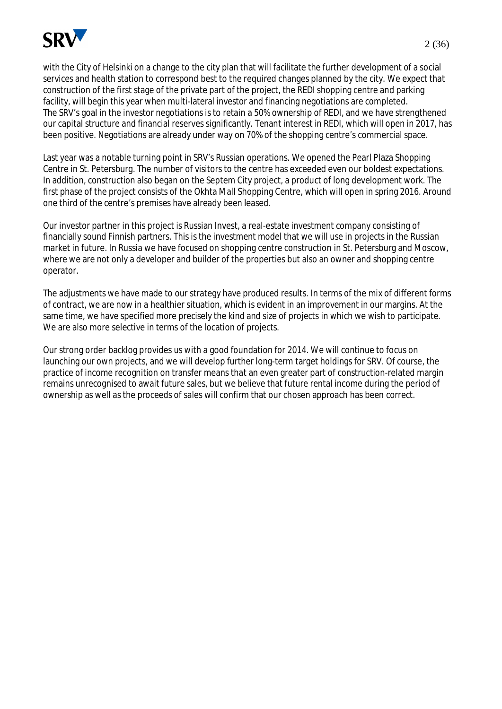

with the City of Helsinki on a change to the city plan that will facilitate the further development of a social services and health station to correspond best to the required changes planned by the city. We expect that construction of the first stage of the private part of the project, the REDI shopping centre and parking facility, will begin this year when multi-lateral investor and financing negotiations are completed. The SRV's goal in the investor negotiations is to retain a 50% ownership of REDI, and we have strengthened our capital structure and financial reserves significantly. Tenant interest in REDI, which will open in 2017, has been positive. Negotiations are already under way on 70% of the shopping centre's commercial space.

Last year was a notable turning point in SRV's Russian operations. We opened the Pearl Plaza Shopping Centre in St. Petersburg. The number of visitors to the centre has exceeded even our boldest expectations. In addition, construction also began on the Septem City project, a product of long development work. The first phase of the project consists of the Okhta Mall Shopping Centre, which will open in spring 2016. Around one third of the centre's premises have already been leased.

Our investor partner in this project is Russian Invest, a real-estate investment company consisting of financially sound Finnish partners. This is the investment model that we will use in projects in the Russian market in future. In Russia we have focused on shopping centre construction in St. Petersburg and Moscow, where we are not only a developer and builder of the properties but also an owner and shopping centre operator.

The adjustments we have made to our strategy have produced results. In terms of the mix of different forms of contract, we are now in a healthier situation, which is evident in an improvement in our margins. At the same time, we have specified more precisely the kind and size of projects in which we wish to participate. We are also more selective in terms of the location of projects.

Our strong order backlog provides us with a good foundation for 2014. We will continue to focus on launching our own projects, and we will develop further long-term target holdings for SRV. Of course, the practice of income recognition on transfer means that an even greater part of construction-related margin remains unrecognised to await future sales, but we believe that future rental income during the period of ownership as well as the proceeds of sales will confirm that our chosen approach has been correct.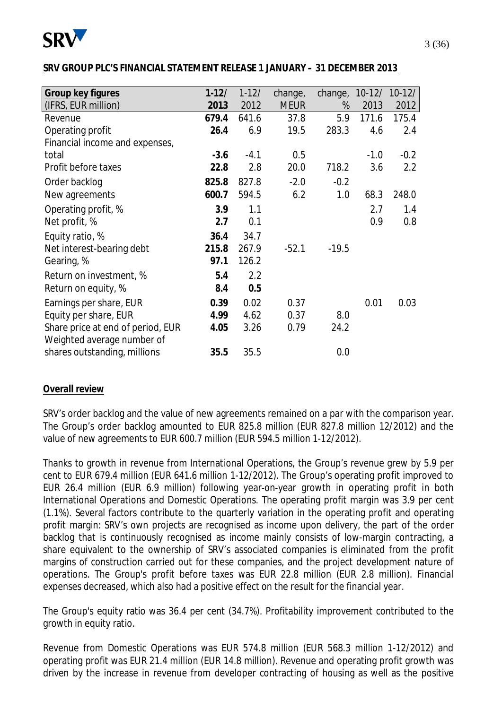

#### **SRV GROUP PLC'S FINANCIAL STATEMENT RELEASE 1 JANUARY – 31 DECEMBER 2013**

| Group key figures                 | $1 - 12/$ | $1 - 12/$ | change,     | change, | $10 - 12/$ | $10-12/$         |
|-----------------------------------|-----------|-----------|-------------|---------|------------|------------------|
| (IFRS, EUR million)               | 2013      | 2012      | <b>MEUR</b> | %       | 2013       | 2012             |
| Revenue                           | 679.4     | 641.6     | 37.8        | 5.9     | 171.6      | 175.4            |
| Operating profit                  | 26.4      | 6.9       | 19.5        | 283.3   | 4.6        | 2.4              |
| Financial income and expenses,    |           |           |             |         |            |                  |
| total                             | $-3.6$    | $-4.1$    | 0.5         |         | $-1.0$     | $-0.2$           |
| Profit before taxes               | 22.8      | 2.8       | 20.0        | 718.2   | 3.6        | $2.2\phantom{0}$ |
| Order backlog                     | 825.8     | 827.8     | $-2.0$      | $-0.2$  |            |                  |
| New agreements                    | 600.7     | 594.5     | 6.2         | 1.0     | 68.3       | 248.0            |
| Operating profit, %               | 3.9       | 1.1       |             |         | 2.7        | 1.4              |
| Net profit, %                     | 2.7       | 0.1       |             |         | 0.9        | 0.8              |
| Equity ratio, %                   | 36.4      | 34.7      |             |         |            |                  |
| Net interest-bearing debt         | 215.8     | 267.9     | $-52.1$     | $-19.5$ |            |                  |
| Gearing, %                        | 97.1      | 126.2     |             |         |            |                  |
| Return on investment, %           | 5.4       | 2.2       |             |         |            |                  |
| Return on equity, %               | 8.4       | 0.5       |             |         |            |                  |
| Earnings per share, EUR           | 0.39      | 0.02      | 0.37        |         | 0.01       | 0.03             |
| Equity per share, EUR             | 4.99      | 4.62      | 0.37        | 8.0     |            |                  |
| Share price at end of period, EUR | 4.05      | 3.26      | 0.79        | 24.2    |            |                  |
| Weighted average number of        |           |           |             |         |            |                  |
| shares outstanding, millions      | 35.5      | 35.5      |             | 0.0     |            |                  |

#### **Overall review**

SRV's order backlog and the value of new agreements remained on a par with the comparison year. The Group's order backlog amounted to EUR 825.8 million (EUR 827.8 million 12/2012) and the value of new agreements to EUR 600.7 million (EUR 594.5 million 1-12/2012).

Thanks to growth in revenue from International Operations, the Group's revenue grew by 5.9 per cent to EUR 679.4 million (EUR 641.6 million 1-12/2012). The Group's operating profit improved to EUR 26.4 million (EUR 6.9 million) following year-on-year growth in operating profit in both International Operations and Domestic Operations. The operating profit margin was 3.9 per cent (1.1%). Several factors contribute to the quarterly variation in the operating profit and operating profit margin: SRV's own projects are recognised as income upon delivery, the part of the order backlog that is continuously recognised as income mainly consists of low-margin contracting, a share equivalent to the ownership of SRV's associated companies is eliminated from the profit margins of construction carried out for these companies, and the project development nature of operations. The Group's profit before taxes was EUR 22.8 million (EUR 2.8 million). Financial expenses decreased, which also had a positive effect on the result for the financial year.

The Group's equity ratio was 36.4 per cent (34.7%). Profitability improvement contributed to the growth in equity ratio.

Revenue from Domestic Operations was EUR 574.8 million (EUR 568.3 million 1-12/2012) and operating profit was EUR 21.4 million (EUR 14.8 million). Revenue and operating profit growth was driven by the increase in revenue from developer contracting of housing as well as the positive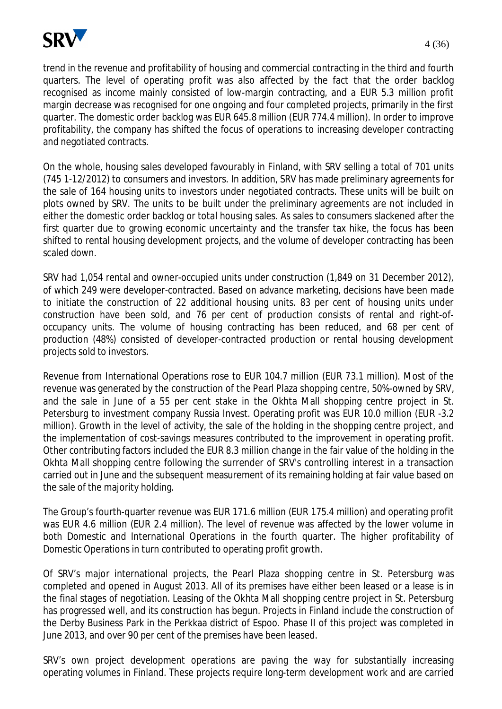

trend in the revenue and profitability of housing and commercial contracting in the third and fourth quarters. The level of operating profit was also affected by the fact that the order backlog recognised as income mainly consisted of low-margin contracting, and a EUR 5.3 million profit margin decrease was recognised for one ongoing and four completed projects, primarily in the first quarter. The domestic order backlog was EUR 645.8 million (EUR 774.4 million). In order to improve profitability, the company has shifted the focus of operations to increasing developer contracting and negotiated contracts.

On the whole, housing sales developed favourably in Finland, with SRV selling a total of 701 units (745 1-12/2012) to consumers and investors. In addition, SRV has made preliminary agreements for the sale of 164 housing units to investors under negotiated contracts. These units will be built on plots owned by SRV. The units to be built under the preliminary agreements are not included in either the domestic order backlog or total housing sales. As sales to consumers slackened after the first quarter due to growing economic uncertainty and the transfer tax hike, the focus has been shifted to rental housing development projects, and the volume of developer contracting has been scaled down.

SRV had 1,054 rental and owner-occupied units under construction (1,849 on 31 December 2012), of which 249 were developer-contracted. Based on advance marketing, decisions have been made to initiate the construction of 22 additional housing units. 83 per cent of housing units under construction have been sold, and 76 per cent of production consists of rental and right-ofoccupancy units. The volume of housing contracting has been reduced, and 68 per cent of production (48%) consisted of developer-contracted production or rental housing development projects sold to investors.

Revenue from International Operations rose to EUR 104.7 million (EUR 73.1 million). Most of the revenue was generated by the construction of the Pearl Plaza shopping centre, 50%-owned by SRV, and the sale in June of a 55 per cent stake in the Okhta Mall shopping centre project in St. Petersburg to investment company Russia Invest. Operating profit was EUR 10.0 million (EUR -3.2 million). Growth in the level of activity, the sale of the holding in the shopping centre project, and the implementation of cost-savings measures contributed to the improvement in operating profit. Other contributing factors included the EUR 8.3 million change in the fair value of the holding in the Okhta Mall shopping centre following the surrender of SRV's controlling interest in a transaction carried out in June and the subsequent measurement of its remaining holding at fair value based on the sale of the majority holding.

The Group's fourth-quarter revenue was EUR 171.6 million (EUR 175.4 million) and operating profit was EUR 4.6 million (EUR 2.4 million). The level of revenue was affected by the lower volume in both Domestic and International Operations in the fourth quarter. The higher profitability of Domestic Operations in turn contributed to operating profit growth.

Of SRV's major international projects, the Pearl Plaza shopping centre in St. Petersburg was completed and opened in August 2013. All of its premises have either been leased or a lease is in the final stages of negotiation. Leasing of the Okhta Mall shopping centre project in St. Petersburg has progressed well, and its construction has begun. Projects in Finland include the construction of the Derby Business Park in the Perkkaa district of Espoo. Phase II of this project was completed in June 2013, and over 90 per cent of the premises have been leased.

SRV's own project development operations are paving the way for substantially increasing operating volumes in Finland. These projects require long-term development work and are carried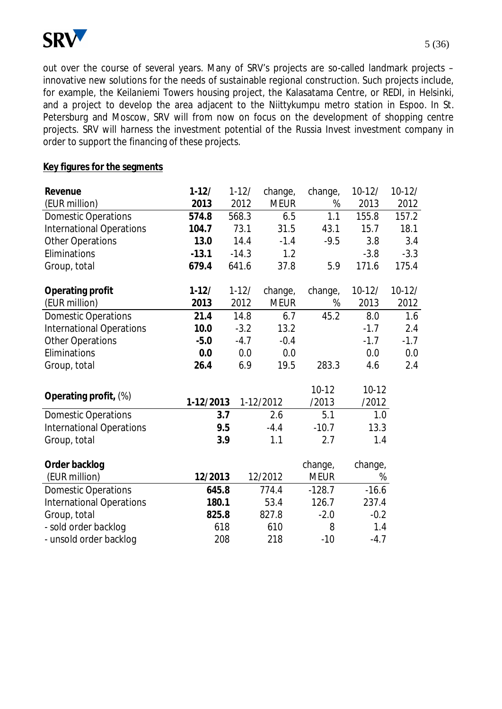

out over the course of several years. Many of SRV's projects are so-called landmark projects – innovative new solutions for the needs of sustainable regional construction. Such projects include, for example, the Keilaniemi Towers housing project, the Kalasatama Centre, or REDI, in Helsinki, and a project to develop the area adjacent to the Niittykumpu metro station in Espoo. In St. Petersburg and Moscow, SRV will from now on focus on the development of shopping centre projects. SRV will harness the investment potential of the Russia Invest investment company in order to support the financing of these projects.

#### **Key figures for the segments**

| Revenue                         | $1-12/$   | $1-12/$ | change,     | change,     | $10 - 12/$ | $10 - 12/$ |
|---------------------------------|-----------|---------|-------------|-------------|------------|------------|
| (EUR million)                   | 2013      | 2012    | <b>MEUR</b> | %           | 2013       | 2012       |
| <b>Domestic Operations</b>      | 574.8     | 568.3   | 6.5         | 1.1         | 155.8      | 157.2      |
| <b>International Operations</b> | 104.7     | 73.1    | 31.5        | 43.1        | 15.7       | 18.1       |
| <b>Other Operations</b>         | 13.0      | 14.4    | $-1.4$      | $-9.5$      | 3.8        | 3.4        |
| Eliminations                    | $-13.1$   | $-14.3$ | 1.2         |             | $-3.8$     | $-3.3$     |
| Group, total                    | 679.4     | 641.6   | 37.8        | 5.9         | 171.6      | 175.4      |
| Operating profit                | $1-12/$   | $1-12/$ | change,     | change,     | $10 - 12/$ | $10-12/$   |
| (EUR million)                   | 2013      | 2012    | <b>MEUR</b> | %           | 2013       | 2012       |
| <b>Domestic Operations</b>      | 21.4      | 14.8    | 6.7         | 45.2        | 8.0        | 1.6        |
| <b>International Operations</b> | 10.0      | $-3.2$  | 13.2        |             | $-1.7$     | 2.4        |
| <b>Other Operations</b>         | $-5.0$    | $-4.7$  | $-0.4$      |             | $-1.7$     | $-1.7$     |
| Eliminations                    | 0.0       | 0.0     | 0.0         |             | 0.0        | 0.0        |
| Group, total                    | 26.4      | 6.9     | 19.5        | 283.3       | 4.6        | 2.4        |
| Operating profit, (%)           |           |         |             | $10 - 12$   | $10-12$    |            |
|                                 | 1-12/2013 |         | 1-12/2012   | /2013       | /2012      |            |
| <b>Domestic Operations</b>      |           | 3.7     | 2.6         | 5.1         | 1.0        |            |
| <b>International Operations</b> |           | 9.5     | $-4.4$      | $-10.7$     | 13.3       |            |
| Group, total                    |           | 3.9     | 1.1         | 2.7         | 1.4        |            |
| Order backlog                   |           |         |             | change,     | change,    |            |
| (EUR million)                   | 12/2013   |         | 12/2012     | <b>MEUR</b> | %          |            |
| <b>Domestic Operations</b>      | 645.8     |         | 774.4       | $-128.7$    | $-16.6$    |            |
| <b>International Operations</b> | 180.1     |         | 53.4        | 126.7       | 237.4      |            |
| Group, total                    | 825.8     |         | 827.8       | $-2.0$      | $-0.2$     |            |
| - sold order backlog            |           | 618     | 610         | 8           | 1.4        |            |
| - unsold order backlog          |           | 208     | 218         | $-10$       | $-4.7$     |            |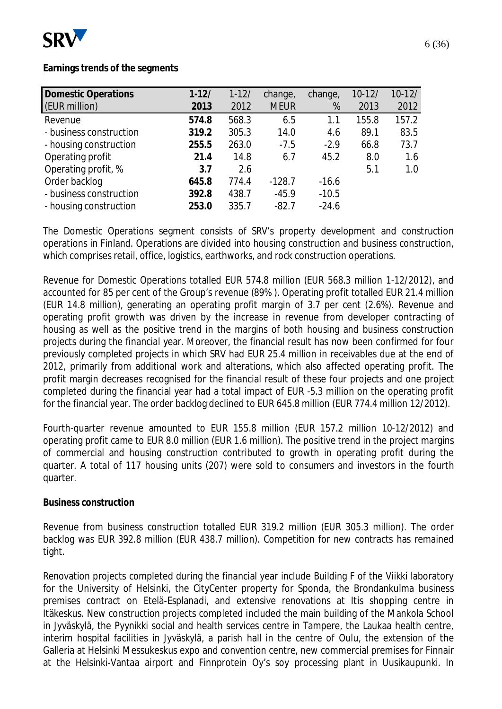

#### **Earnings trends of the segments**

| $1 - 12/$ | $1-12/$ | change,     | change, | $10 - 12/$ | $10-12/$ |
|-----------|---------|-------------|---------|------------|----------|
| 2013      | 2012    | <b>MEUR</b> | %       | 2013       | 2012     |
| 574.8     | 568.3   | 6.5         | 1.1     | 155.8      | 157.2    |
| 319.2     | 305.3   | 14.0        | 4.6     | 89.1       | 83.5     |
| 255.5     | 263.0   | $-7.5$      | $-2.9$  | 66.8       | 73.7     |
| 21.4      | 14.8    | 6.7         | 45.2    | 8.0        | 1.6      |
| 3.7       | 2.6     |             |         | 5.1        | 1.0      |
| 645.8     | 774.4   | $-128.7$    | $-16.6$ |            |          |
| 392.8     | 438.7   | $-45.9$     | $-10.5$ |            |          |
| 253.0     | 335.7   | $-82.7$     | $-24.6$ |            |          |
|           |         |             |         |            |          |

The Domestic Operations segment consists of SRV's property development and construction operations in Finland. Operations are divided into housing construction and business construction, which comprises retail, office, logistics, earthworks, and rock construction operations.

Revenue for Domestic Operations totalled EUR 574.8 million (EUR 568.3 million 1-12/2012), and accounted for 85 per cent of the Group's revenue (89% ). Operating profit totalled EUR 21.4 million (EUR 14.8 million), generating an operating profit margin of 3.7 per cent (2.6%). Revenue and operating profit growth was driven by the increase in revenue from developer contracting of housing as well as the positive trend in the margins of both housing and business construction projects during the financial year. Moreover, the financial result has now been confirmed for four previously completed projects in which SRV had EUR 25.4 million in receivables due at the end of 2012, primarily from additional work and alterations, which also affected operating profit. The profit margin decreases recognised for the financial result of these four projects and one project completed during the financial year had a total impact of EUR -5.3 million on the operating profit for the financial year. The order backlog declined to EUR 645.8 million (EUR 774.4 million 12/2012).

Fourth-quarter revenue amounted to EUR 155.8 million (EUR 157.2 million 10-12/2012) and operating profit came to EUR 8.0 million (EUR 1.6 million). The positive trend in the project margins of commercial and housing construction contributed to growth in operating profit during the quarter. A total of 117 housing units (207) were sold to consumers and investors in the fourth quarter.

#### **Business construction**

Revenue from business construction totalled EUR 319.2 million (EUR 305.3 million). The order backlog was EUR 392.8 million (EUR 438.7 million). Competition for new contracts has remained tight.

Renovation projects completed during the financial year include Building F of the Viikki laboratory for the University of Helsinki, the CityCenter property for Sponda, the Brondankulma business premises contract on Etelä-Esplanadi, and extensive renovations at Itis shopping centre in Itäkeskus. New construction projects completed included the main building of the Mankola School in Jyväskylä, the Pyynikki social and health services centre in Tampere, the Laukaa health centre, interim hospital facilities in Jyväskylä, a parish hall in the centre of Oulu, the extension of the Galleria at Helsinki Messukeskus expo and convention centre, new commercial premises for Finnair at the Helsinki-Vantaa airport and Finnprotein Oy's soy processing plant in Uusikaupunki. In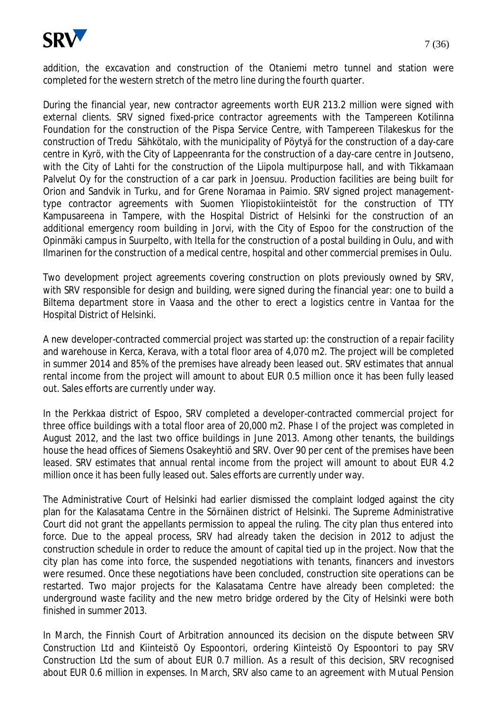

addition, the excavation and construction of the Otaniemi metro tunnel and station were completed for the western stretch of the metro line during the fourth quarter.

During the financial year, new contractor agreements worth EUR 213.2 million were signed with external clients. SRV signed fixed-price contractor agreements with the Tampereen Kotilinna Foundation for the construction of the Pispa Service Centre, with Tampereen Tilakeskus for the construction of Tredu Sähkötalo, with the municipality of Pöytyä for the construction of a day-care centre in Kyrö, with the City of Lappeenranta for the construction of a day-care centre in Joutseno, with the City of Lahti for the construction of the Liipola multipurpose hall, and with Tikkamaan Palvelut Oy for the construction of a car park in Joensuu. Production facilities are being built for Orion and Sandvik in Turku, and for Grene Noramaa in Paimio. SRV signed project managementtype contractor agreements with Suomen Yliopistokiinteistöt for the construction of TTY Kampusareena in Tampere, with the Hospital District of Helsinki for the construction of an additional emergency room building in Jorvi, with the City of Espoo for the construction of the Opinmäki campus in Suurpelto, with Itella for the construction of a postal building in Oulu, and with Ilmarinen for the construction of a medical centre, hospital and other commercial premises in Oulu.

Two development project agreements covering construction on plots previously owned by SRV, with SRV responsible for design and building, were signed during the financial year: one to build a Biltema department store in Vaasa and the other to erect a logistics centre in Vantaa for the Hospital District of Helsinki.

A new developer-contracted commercial project was started up: the construction of a repair facility and warehouse in Kerca, Kerava, with a total floor area of 4,070 m2. The project will be completed in summer 2014 and 85% of the premises have already been leased out. SRV estimates that annual rental income from the project will amount to about EUR 0.5 million once it has been fully leased out. Sales efforts are currently under way.

In the Perkkaa district of Espoo, SRV completed a developer-contracted commercial project for three office buildings with a total floor area of 20,000 m2. Phase I of the project was completed in August 2012, and the last two office buildings in June 2013. Among other tenants, the buildings house the head offices of Siemens Osakeyhtiö and SRV. Over 90 per cent of the premises have been leased. SRV estimates that annual rental income from the project will amount to about EUR 4.2 million once it has been fully leased out. Sales efforts are currently under way.

The Administrative Court of Helsinki had earlier dismissed the complaint lodged against the city plan for the Kalasatama Centre in the Sörnäinen district of Helsinki. The Supreme Administrative Court did not grant the appellants permission to appeal the ruling. The city plan thus entered into force. Due to the appeal process, SRV had already taken the decision in 2012 to adjust the construction schedule in order to reduce the amount of capital tied up in the project. Now that the city plan has come into force, the suspended negotiations with tenants, financers and investors were resumed. Once these negotiations have been concluded, construction site operations can be restarted. Two major projects for the Kalasatama Centre have already been completed: the underground waste facility and the new metro bridge ordered by the City of Helsinki were both finished in summer 2013.

In March, the Finnish Court of Arbitration announced its decision on the dispute between SRV Construction Ltd and Kiinteistö Oy Espoontori, ordering Kiinteistö Oy Espoontori to pay SRV Construction Ltd the sum of about EUR 0.7 million. As a result of this decision, SRV recognised about EUR 0.6 million in expenses. In March, SRV also came to an agreement with Mutual Pension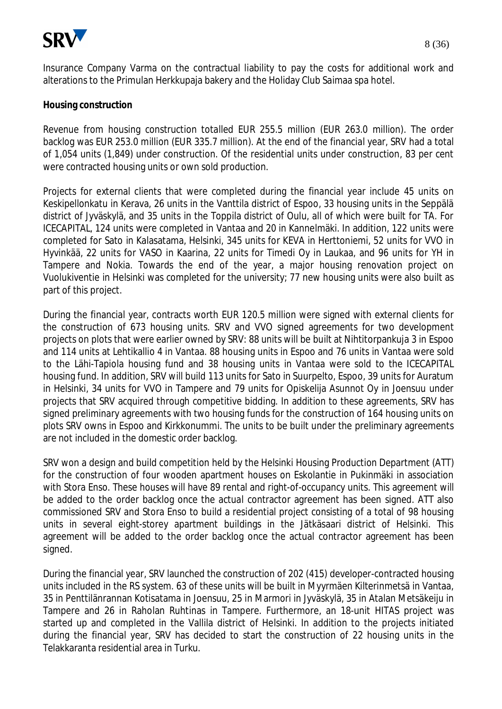

Insurance Company Varma on the contractual liability to pay the costs for additional work and alterations to the Primulan Herkkupaja bakery and the Holiday Club Saimaa spa hotel.

#### **Housing construction**

Revenue from housing construction totalled EUR 255.5 million (EUR 263.0 million). The order backlog was EUR 253.0 million (EUR 335.7 million). At the end of the financial year, SRV had a total of 1,054 units (1,849) under construction. Of the residential units under construction, 83 per cent were contracted housing units or own sold production.

Projects for external clients that were completed during the financial year include 45 units on Keskipellonkatu in Kerava, 26 units in the Vanttila district of Espoo, 33 housing units in the Seppälä district of Jyväskylä, and 35 units in the Toppila district of Oulu, all of which were built for TA. For ICECAPITAL, 124 units were completed in Vantaa and 20 in Kannelmäki. In addition, 122 units were completed for Sato in Kalasatama, Helsinki, 345 units for KEVA in Herttoniemi, 52 units for VVO in Hyvinkää, 22 units for VASO in Kaarina, 22 units for Timedi Oy in Laukaa, and 96 units for YH in Tampere and Nokia. Towards the end of the year, a major housing renovation project on Vuolukiventie in Helsinki was completed for the university; 77 new housing units were also built as part of this project.

During the financial year, contracts worth EUR 120.5 million were signed with external clients for the construction of 673 housing units. SRV and VVO signed agreements for two development projects on plots that were earlier owned by SRV: 88 units will be built at Nihtitorpankuja 3 in Espoo and 114 units at Lehtikallio 4 in Vantaa. 88 housing units in Espoo and 76 units in Vantaa were sold to the Lähi-Tapiola housing fund and 38 housing units in Vantaa were sold to the ICECAPITAL housing fund. In addition, SRV will build 113 units for Sato in Suurpelto, Espoo, 39 units for Auratum in Helsinki, 34 units for VVO in Tampere and 79 units for Opiskelija Asunnot Oy in Joensuu under projects that SRV acquired through competitive bidding. In addition to these agreements, SRV has signed preliminary agreements with two housing funds for the construction of 164 housing units on plots SRV owns in Espoo and Kirkkonummi. The units to be built under the preliminary agreements are not included in the domestic order backlog.

SRV won a design and build competition held by the Helsinki Housing Production Department (ATT) for the construction of four wooden apartment houses on Eskolantie in Pukinmäki in association with Stora Enso. These houses will have 89 rental and right-of-occupancy units. This agreement will be added to the order backlog once the actual contractor agreement has been signed. ATT also commissioned SRV and Stora Enso to build a residential project consisting of a total of 98 housing units in several eight-storey apartment buildings in the Jätkäsaari district of Helsinki. This agreement will be added to the order backlog once the actual contractor agreement has been signed.

During the financial year, SRV launched the construction of 202 (415) developer-contracted housing units included in the RS system. 63 of these units will be built in Myyrmäen Kilterinmetsä in Vantaa, 35 in Penttilänrannan Kotisatama in Joensuu, 25 in Marmori in Jyväskylä, 35 in Atalan Metsäkeiju in Tampere and 26 in Raholan Ruhtinas in Tampere. Furthermore, an 18-unit HITAS project was started up and completed in the Vallila district of Helsinki. In addition to the projects initiated during the financial year, SRV has decided to start the construction of 22 housing units in the Telakkaranta residential area in Turku.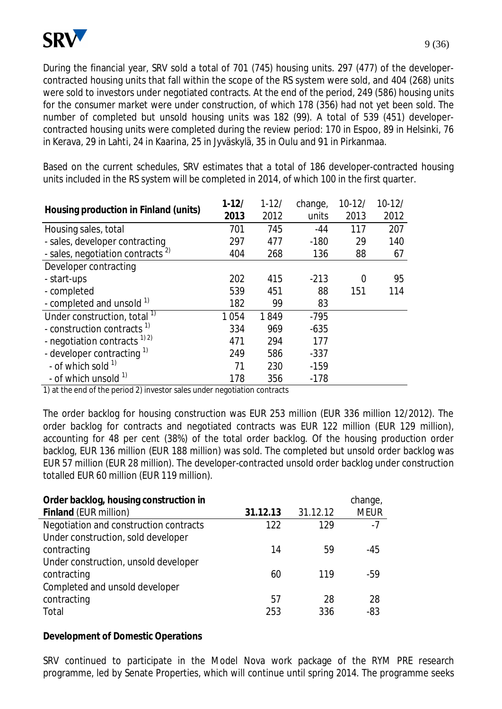

During the financial year, SRV sold a total of 701 (745) housing units. 297 (477) of the developercontracted housing units that fall within the scope of the RS system were sold, and 404 (268) units were sold to investors under negotiated contracts. At the end of the period, 249 (586) housing units for the consumer market were under construction, of which 178 (356) had not yet been sold. The number of completed but unsold housing units was 182 (99). A total of 539 (451) developercontracted housing units were completed during the review period: 170 in Espoo, 89 in Helsinki, 76 in Kerava, 29 in Lahti, 24 in Kaarina, 25 in Jyväskylä, 35 in Oulu and 91 in Pirkanmaa.

Based on the current schedules, SRV estimates that a total of 186 developer-contracted housing units included in the RS system will be completed in 2014, of which 100 in the first quarter.

| Housing production in Finland (units)        | $1 - 12/$ | $1 - 12/$ | change, | $10-12/$ | $10 - 12/$ |
|----------------------------------------------|-----------|-----------|---------|----------|------------|
|                                              | 2013      | 2012      | units   | 2013     | 2012       |
| Housing sales, total                         | 701       | 745       | $-44$   | 117      | 207        |
| - sales, developer contracting               | 297       | 477       | $-180$  | 29       | 140        |
| - sales, negotiation contracts <sup>2)</sup> | 404       | 268       | 136     | 88       | 67         |
| Developer contracting                        |           |           |         |          |            |
| - start-ups                                  | 202       | 415       | $-213$  | $\Omega$ | 95         |
| - completed                                  | 539       | 451       | 88      | 151      | 114        |
| - completed and unsold 1)                    | 182       | 99        | 83      |          |            |
| Under construction, total <sup>1)</sup>      | 1054      | 1849      | $-795$  |          |            |
| - construction contracts <sup>1)</sup>       | 334       | 969       | $-635$  |          |            |
| - negotiation contracts $^{1/2}$             | 471       | 294       | 177     |          |            |
| - developer contracting $1$                  | 249       | 586       | $-337$  |          |            |
| - of which sold $1$                          | 71        | 230       | $-159$  |          |            |
| - of which unsold <sup>1)</sup>              | 178       | 356       | $-178$  |          |            |

1) at the end of the period 2) investor sales under negotiation contracts

The order backlog for housing construction was EUR 253 million (EUR 336 million 12/2012). The order backlog for contracts and negotiated contracts was EUR 122 million (EUR 129 million), accounting for 48 per cent (38%) of the total order backlog. Of the housing production order backlog, EUR 136 million (EUR 188 million) was sold. The completed but unsold order backlog was EUR 57 million (EUR 28 million). The developer-contracted unsold order backlog under construction totalled EUR 60 million (EUR 119 million).

| Order backlog, housing construction in |          |          | change,     |
|----------------------------------------|----------|----------|-------------|
| Finland (EUR million)                  | 31.12.13 | 31.12.12 | <b>MEUR</b> |
| Negotiation and construction contracts | 122      | 129      | $-7$        |
| Under construction, sold developer     |          |          |             |
| contracting                            | 14       | 59       | -45         |
| Under construction, unsold developer   |          |          |             |
| contracting                            | 60       | 119      | -59         |
| Completed and unsold developer         |          |          |             |
| contracting                            | 57       | 28       | 28          |
| Total                                  | 253      | 336      | $-83$       |

**Development of Domestic Operations** 

SRV continued to participate in the Model Nova work package of the RYM PRE research programme, led by Senate Properties, which will continue until spring 2014. The programme seeks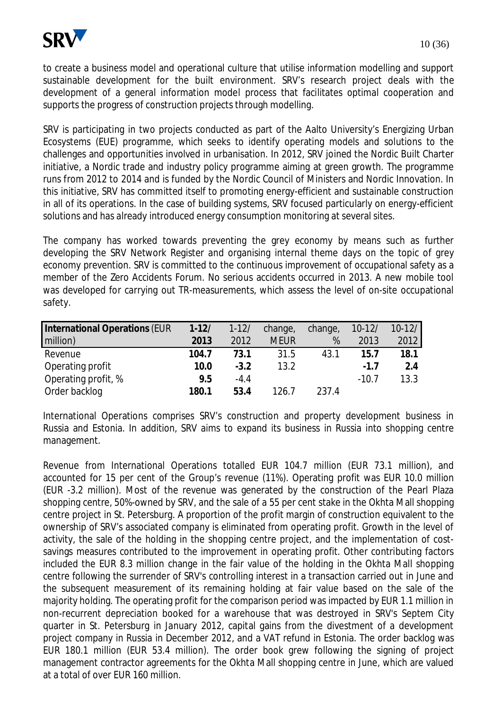to create a business model and operational culture that utilise information modelling and support sustainable development for the built environment. SRV's research project deals with the development of a general information model process that facilitates optimal cooperation and supports the progress of construction projects through modelling.

SRV is participating in two projects conducted as part of the Aalto University's Energizing Urban Ecosystems (EUE) programme, which seeks to identify operating models and solutions to the challenges and opportunities involved in urbanisation. In 2012, SRV joined the Nordic Built Charter initiative, a Nordic trade and industry policy programme aiming at green growth. The programme runs from 2012 to 2014 and is funded by the Nordic Council of Ministers and Nordic Innovation. In this initiative, SRV has committed itself to promoting energy-efficient and sustainable construction in all of its operations. In the case of building systems, SRV focused particularly on energy-efficient solutions and has already introduced energy consumption monitoring at several sites.

The company has worked towards preventing the grey economy by means such as further developing the SRV Network Register and organising internal theme days on the topic of grey economy prevention. SRV is committed to the continuous improvement of occupational safety as a member of the Zero Accidents Forum. No serious accidents occurred in 2013. A new mobile tool was developed for carrying out TR-measurements, which assess the level of on-site occupational safety.

| International Operations (EUR | $1 - 12/$ | $1 - 12/$ | change,     | change, | $10 - 12/$ | $10 - 12/$ |
|-------------------------------|-----------|-----------|-------------|---------|------------|------------|
| million)                      | 2013      | 2012      | <b>MEUR</b> | %       | 2013       | 2012       |
| Revenue                       | 104.7     | 73.1      | 31.5        | 43.1    | 15.7       | 18.1       |
| Operating profit              | 10.0      | $-3.2$    | 13.2        |         | $-1.7$     | 2.4        |
| Operating profit, %           | 9.5       | $-4.4$    |             |         | $-10.7$    | 13.3       |
| Order backlog                 | 180.1     | 53.4      | 126.7       | 237.4   |            |            |

International Operations comprises SRV's construction and property development business in Russia and Estonia. In addition, SRV aims to expand its business in Russia into shopping centre management.

Revenue from International Operations totalled EUR 104.7 million (EUR 73.1 million), and accounted for 15 per cent of the Group's revenue (11%). Operating profit was EUR 10.0 million (EUR -3.2 million). Most of the revenue was generated by the construction of the Pearl Plaza shopping centre, 50%-owned by SRV, and the sale of a 55 per cent stake in the Okhta Mall shopping centre project in St. Petersburg. A proportion of the profit margin of construction equivalent to the ownership of SRV's associated company is eliminated from operating profit. Growth in the level of activity, the sale of the holding in the shopping centre project, and the implementation of costsavings measures contributed to the improvement in operating profit. Other contributing factors included the EUR 8.3 million change in the fair value of the holding in the Okhta Mall shopping centre following the surrender of SRV's controlling interest in a transaction carried out in June and the subsequent measurement of its remaining holding at fair value based on the sale of the majority holding. The operating profit for the comparison period was impacted by EUR 1.1 million in non-recurrent depreciation booked for a warehouse that was destroyed in SRV's Septem City quarter in St. Petersburg in January 2012, capital gains from the divestment of a development project company in Russia in December 2012, and a VAT refund in Estonia. The order backlog was EUR 180.1 million (EUR 53.4 million). The order book grew following the signing of project management contractor agreements for the Okhta Mall shopping centre in June, which are valued at a total of over EUR 160 million.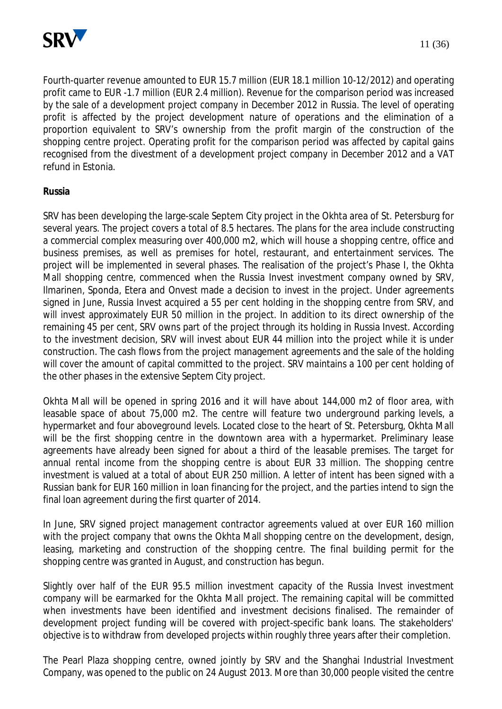

Fourth-quarter revenue amounted to EUR 15.7 million (EUR 18.1 million 10-12/2012) and operating profit came to EUR -1.7 million (EUR 2.4 million). Revenue for the comparison period was increased by the sale of a development project company in December 2012 in Russia. The level of operating profit is affected by the project development nature of operations and the elimination of a proportion equivalent to SRV's ownership from the profit margin of the construction of the shopping centre project. Operating profit for the comparison period was affected by capital gains recognised from the divestment of a development project company in December 2012 and a VAT refund in Estonia.

#### **Russia**

SRV has been developing the large-scale Septem City project in the Okhta area of St. Petersburg for several years. The project covers a total of 8.5 hectares. The plans for the area include constructing a commercial complex measuring over 400,000 m2, which will house a shopping centre, office and business premises, as well as premises for hotel, restaurant, and entertainment services. The project will be implemented in several phases. The realisation of the project's Phase I, the Okhta Mall shopping centre, commenced when the Russia Invest investment company owned by SRV, Ilmarinen, Sponda, Etera and Onvest made a decision to invest in the project. Under agreements signed in June, Russia Invest acquired a 55 per cent holding in the shopping centre from SRV, and will invest approximately EUR 50 million in the project. In addition to its direct ownership of the remaining 45 per cent, SRV owns part of the project through its holding in Russia Invest. According to the investment decision, SRV will invest about EUR 44 million into the project while it is under construction. The cash flows from the project management agreements and the sale of the holding will cover the amount of capital committed to the project. SRV maintains a 100 per cent holding of the other phases in the extensive Septem City project.

Okhta Mall will be opened in spring 2016 and it will have about 144,000 m2 of floor area, with leasable space of about 75,000 m2. The centre will feature two underground parking levels, a hypermarket and four aboveground levels. Located close to the heart of St. Petersburg, Okhta Mall will be the first shopping centre in the downtown area with a hypermarket. Preliminary lease agreements have already been signed for about a third of the leasable premises. The target for annual rental income from the shopping centre is about EUR 33 million. The shopping centre investment is valued at a total of about EUR 250 million. A letter of intent has been signed with a Russian bank for EUR 160 million in loan financing for the project, and the parties intend to sign the final loan agreement during the first quarter of 2014.

In June, SRV signed project management contractor agreements valued at over EUR 160 million with the project company that owns the Okhta Mall shopping centre on the development, design, leasing, marketing and construction of the shopping centre. The final building permit for the shopping centre was granted in August, and construction has begun.

Slightly over half of the EUR 95.5 million investment capacity of the Russia Invest investment company will be earmarked for the Okhta Mall project. The remaining capital will be committed when investments have been identified and investment decisions finalised. The remainder of development project funding will be covered with project-specific bank loans. The stakeholders' objective is to withdraw from developed projects within roughly three years after their completion.

The Pearl Plaza shopping centre, owned jointly by SRV and the Shanghai Industrial Investment Company, was opened to the public on 24 August 2013. More than 30,000 people visited the centre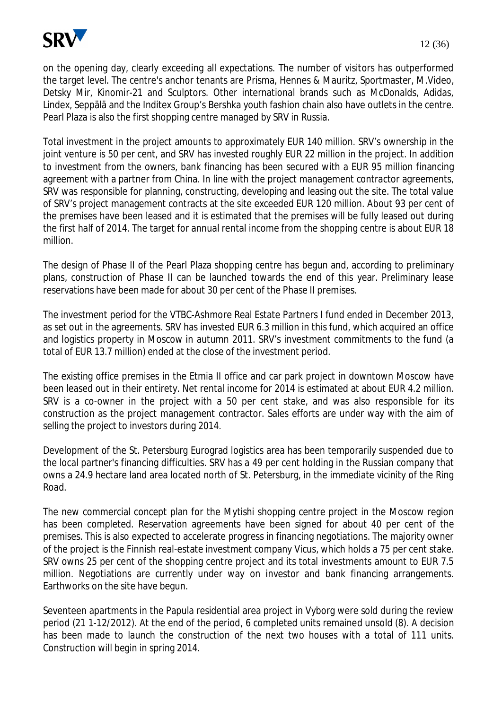

on the opening day, clearly exceeding all expectations. The number of visitors has outperformed the target level. The centre's anchor tenants are Prisma, Hennes & Mauritz, Sportmaster, M.Video, Detsky Mir, Kinomir-21 and Sculptors. Other international brands such as McDonalds, Adidas,

Total investment in the project amounts to approximately EUR 140 million. SRV's ownership in the joint venture is 50 per cent, and SRV has invested roughly EUR 22 million in the project. In addition to investment from the owners, bank financing has been secured with a EUR 95 million financing agreement with a partner from China. In line with the project management contractor agreements, SRV was responsible for planning, constructing, developing and leasing out the site. The total value of SRV's project management contracts at the site exceeded EUR 120 million. About 93 per cent of the premises have been leased and it is estimated that the premises will be fully leased out during the first half of 2014. The target for annual rental income from the shopping centre is about EUR 18 million.

Lindex, Seppälä and the Inditex Group's Bershka youth fashion chain also have outlets in the centre.

Pearl Plaza is also the first shopping centre managed by SRV in Russia.

The design of Phase II of the Pearl Plaza shopping centre has begun and, according to preliminary plans, construction of Phase II can be launched towards the end of this year. Preliminary lease reservations have been made for about 30 per cent of the Phase II premises.

The investment period for the VTBC-Ashmore Real Estate Partners I fund ended in December 2013, as set out in the agreements. SRV has invested EUR 6.3 million in this fund, which acquired an office and logistics property in Moscow in autumn 2011. SRV's investment commitments to the fund (a total of EUR 13.7 million) ended at the close of the investment period.

The existing office premises in the Etmia II office and car park project in downtown Moscow have been leased out in their entirety. Net rental income for 2014 is estimated at about EUR 4.2 million. SRV is a co-owner in the project with a 50 per cent stake, and was also responsible for its construction as the project management contractor. Sales efforts are under way with the aim of selling the project to investors during 2014.

Development of the St. Petersburg Eurograd logistics area has been temporarily suspended due to the local partner's financing difficulties. SRV has a 49 per cent holding in the Russian company that owns a 24.9 hectare land area located north of St. Petersburg, in the immediate vicinity of the Ring Road.

The new commercial concept plan for the Mytishi shopping centre project in the Moscow region has been completed. Reservation agreements have been signed for about 40 per cent of the premises. This is also expected to accelerate progress in financing negotiations. The majority owner of the project is the Finnish real-estate investment company Vicus, which holds a 75 per cent stake. SRV owns 25 per cent of the shopping centre project and its total investments amount to EUR 7.5 million. Negotiations are currently under way on investor and bank financing arrangements. Earthworks on the site have begun.

Seventeen apartments in the Papula residential area project in Vyborg were sold during the review period (21 1-12/2012). At the end of the period, 6 completed units remained unsold (8). A decision has been made to launch the construction of the next two houses with a total of 111 units. Construction will begin in spring 2014.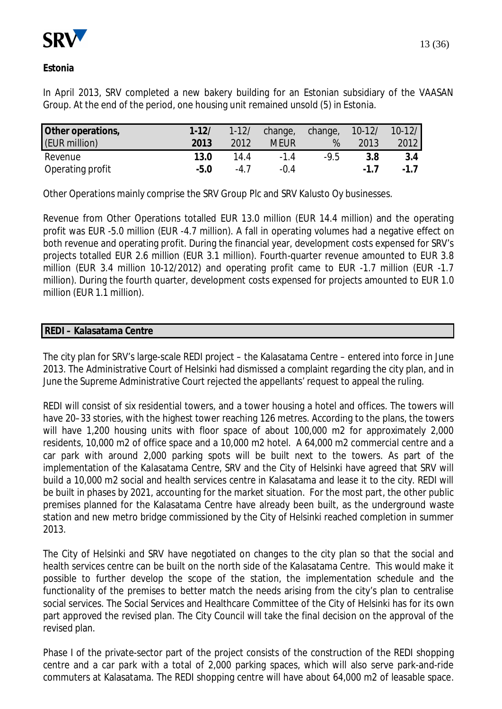

In April 2013, SRV completed a new bakery building for an Estonian subsidiary of the VAASAN Group. At the end of the period, one housing unit remained unsold (5) in Estonia.

| Other operations, | $1 - 12/$ | $1 - 12/$ | change,     | change, | $10 - 12/$ | $10-12/$ |
|-------------------|-----------|-----------|-------------|---------|------------|----------|
| (EUR million)     | 2013      | 2012      | <b>MEUR</b> | %       | 2013       | 2012     |
| Revenue           | 13.0      | 14.4      | $-14$       | $-9.5$  | 3.8        | 3.4      |
| Operating profit  | $-5.0$    | -47       | $-0.4$      |         | $-17$      | $-17$    |

Other Operations mainly comprise the SRV Group Plc and SRV Kalusto Oy businesses.

Revenue from Other Operations totalled EUR 13.0 million (EUR 14.4 million) and the operating profit was EUR -5.0 million (EUR -4.7 million). A fall in operating volumes had a negative effect on both revenue and operating profit. During the financial year, development costs expensed for SRV's projects totalled EUR 2.6 million (EUR 3.1 million). Fourth-quarter revenue amounted to EUR 3.8 million (EUR 3.4 million 10-12/2012) and operating profit came to EUR -1.7 million (EUR -1.7 million). During the fourth quarter, development costs expensed for projects amounted to EUR 1.0 million (EUR 1.1 million).

#### **REDI – Kalasatama Centre**

The city plan for SRV's large-scale REDI project – the Kalasatama Centre – entered into force in June 2013. The Administrative Court of Helsinki had dismissed a complaint regarding the city plan, and in June the Supreme Administrative Court rejected the appellants' request to appeal the ruling.

REDI will consist of six residential towers, and a tower housing a hotel and offices. The towers will have 20–33 stories, with the highest tower reaching 126 metres. According to the plans, the towers will have 1,200 housing units with floor space of about 100,000 m2 for approximately 2,000 residents, 10,000 m2 of office space and a 10,000 m2 hotel. A 64,000 m2 commercial centre and a car park with around 2,000 parking spots will be built next to the towers. As part of the implementation of the Kalasatama Centre, SRV and the City of Helsinki have agreed that SRV will build a 10,000 m2 social and health services centre in Kalasatama and lease it to the city. REDI will be built in phases by 2021, accounting for the market situation. For the most part, the other public premises planned for the Kalasatama Centre have already been built, as the underground waste station and new metro bridge commissioned by the City of Helsinki reached completion in summer 2013.

The City of Helsinki and SRV have negotiated on changes to the city plan so that the social and health services centre can be built on the north side of the Kalasatama Centre. This would make it possible to further develop the scope of the station, the implementation schedule and the functionality of the premises to better match the needs arising from the city's plan to centralise social services. The Social Services and Healthcare Committee of the City of Helsinki has for its own part approved the revised plan. The City Council will take the final decision on the approval of the revised plan.

Phase I of the private-sector part of the project consists of the construction of the REDI shopping centre and a car park with a total of 2,000 parking spaces, which will also serve park-and-ride commuters at Kalasatama. The REDI shopping centre will have about 64,000 m2 of leasable space.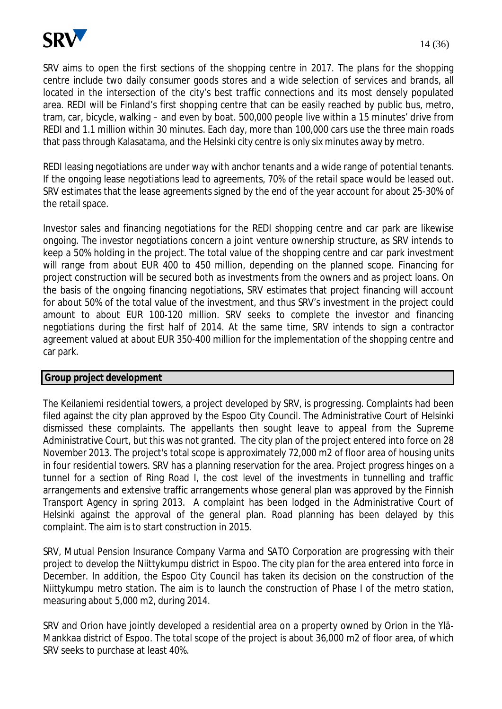

SRV aims to open the first sections of the shopping centre in 2017. The plans for the shopping centre include two daily consumer goods stores and a wide selection of services and brands, all located in the intersection of the city's best traffic connections and its most densely populated area. REDI will be Finland's first shopping centre that can be easily reached by public bus, metro, tram, car, bicycle, walking – and even by boat. 500,000 people live within a 15 minutes' drive from REDI and 1.1 million within 30 minutes. Each day, more than 100,000 cars use the three main roads that pass through Kalasatama, and the Helsinki city centre is only six minutes away by metro.

REDI leasing negotiations are under way with anchor tenants and a wide range of potential tenants. If the ongoing lease negotiations lead to agreements, 70% of the retail space would be leased out. SRV estimates that the lease agreements signed by the end of the year account for about 25-30% of the retail space.

Investor sales and financing negotiations for the REDI shopping centre and car park are likewise ongoing. The investor negotiations concern a joint venture ownership structure, as SRV intends to keep a 50% holding in the project. The total value of the shopping centre and car park investment will range from about EUR 400 to 450 million, depending on the planned scope. Financing for project construction will be secured both as investments from the owners and as project loans. On the basis of the ongoing financing negotiations, SRV estimates that project financing will account for about 50% of the total value of the investment, and thus SRV's investment in the project could amount to about EUR 100-120 million. SRV seeks to complete the investor and financing negotiations during the first half of 2014. At the same time, SRV intends to sign a contractor agreement valued at about EUR 350-400 million for the implementation of the shopping centre and car park.

#### **Group project development**

The Keilaniemi residential towers, a project developed by SRV, is progressing. Complaints had been filed against the city plan approved by the Espoo City Council. The Administrative Court of Helsinki dismissed these complaints. The appellants then sought leave to appeal from the Supreme Administrative Court, but this was not granted. The city plan of the project entered into force on 28 November 2013. The project's total scope is approximately 72,000 m2 of floor area of housing units in four residential towers. SRV has a planning reservation for the area. Project progress hinges on a tunnel for a section of Ring Road I, the cost level of the investments in tunnelling and traffic arrangements and extensive traffic arrangements whose general plan was approved by the Finnish Transport Agency in spring 2013. A complaint has been lodged in the Administrative Court of Helsinki against the approval of the general plan. Road planning has been delayed by this complaint. The aim is to start construction in 2015.

SRV, Mutual Pension Insurance Company Varma and SATO Corporation are progressing with their project to develop the Niittykumpu district in Espoo. The city plan for the area entered into force in December. In addition, the Espoo City Council has taken its decision on the construction of the Niittykumpu metro station. The aim is to launch the construction of Phase I of the metro station, measuring about 5,000 m2, during 2014.

SRV and Orion have jointly developed a residential area on a property owned by Orion in the Ylä-Mankkaa district of Espoo. The total scope of the project is about 36,000 m2 of floor area, of which SRV seeks to purchase at least 40%.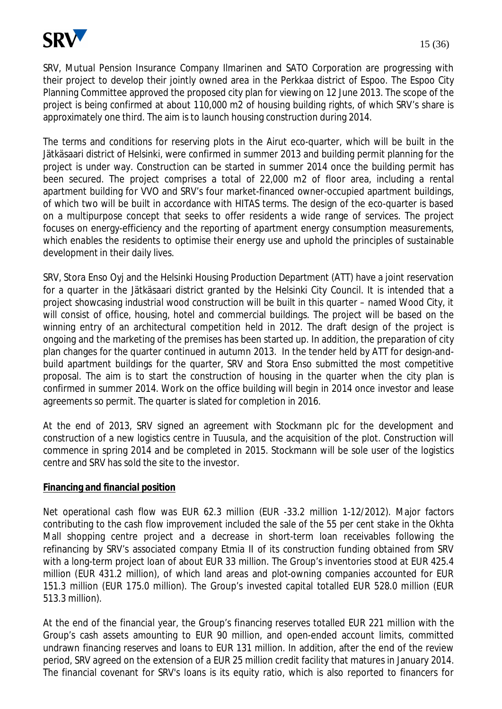

SRV, Mutual Pension Insurance Company Ilmarinen and SATO Corporation are progressing with their project to develop their jointly owned area in the Perkkaa district of Espoo. The Espoo City Planning Committee approved the proposed city plan for viewing on 12 June 2013. The scope of the project is being confirmed at about 110,000 m2 of housing building rights, of which SRV's share is approximately one third. The aim is to launch housing construction during 2014.

The terms and conditions for reserving plots in the Airut eco-quarter, which will be built in the Jätkäsaari district of Helsinki, were confirmed in summer 2013 and building permit planning for the project is under way. Construction can be started in summer 2014 once the building permit has been secured. The project comprises a total of 22,000 m2 of floor area, including a rental apartment building for VVO and SRV's four market-financed owner-occupied apartment buildings, of which two will be built in accordance with HITAS terms. The design of the eco-quarter is based on a multipurpose concept that seeks to offer residents a wide range of services. The project focuses on energy-efficiency and the reporting of apartment energy consumption measurements, which enables the residents to optimise their energy use and uphold the principles of sustainable development in their daily lives.

SRV, Stora Enso Oyj and the Helsinki Housing Production Department (ATT) have a joint reservation for a quarter in the Jätkäsaari district granted by the Helsinki City Council. It is intended that a project showcasing industrial wood construction will be built in this quarter – named Wood City, it will consist of office, housing, hotel and commercial buildings. The project will be based on the winning entry of an architectural competition held in 2012. The draft design of the project is ongoing and the marketing of the premises has been started up. In addition, the preparation of city plan changes for the quarter continued in autumn 2013. In the tender held by ATT for design-andbuild apartment buildings for the quarter, SRV and Stora Enso submitted the most competitive proposal. The aim is to start the construction of housing in the quarter when the city plan is confirmed in summer 2014. Work on the office building will begin in 2014 once investor and lease agreements so permit. The quarter is slated for completion in 2016.

At the end of 2013, SRV signed an agreement with Stockmann plc for the development and construction of a new logistics centre in Tuusula, and the acquisition of the plot. Construction will commence in spring 2014 and be completed in 2015. Stockmann will be sole user of the logistics centre and SRV has sold the site to the investor.

#### **Financing and financial position**

Net operational cash flow was EUR 62.3 million (EUR -33.2 million 1-12/2012). Major factors contributing to the cash flow improvement included the sale of the 55 per cent stake in the Okhta Mall shopping centre project and a decrease in short-term loan receivables following the refinancing by SRV's associated company Etmia II of its construction funding obtained from SRV with a long-term project loan of about EUR 33 million. The Group's inventories stood at EUR 425.4 million (EUR 431.2 million), of which land areas and plot-owning companies accounted for EUR 151.3 million (EUR 175.0 million). The Group's invested capital totalled EUR 528.0 million (EUR 513.3 million).

At the end of the financial year, the Group's financing reserves totalled EUR 221 million with the Group's cash assets amounting to EUR 90 million, and open-ended account limits, committed undrawn financing reserves and loans to EUR 131 million. In addition, after the end of the review period, SRV agreed on the extension of a EUR 25 million credit facility that matures in January 2014. The financial covenant for SRV's loans is its equity ratio, which is also reported to financers for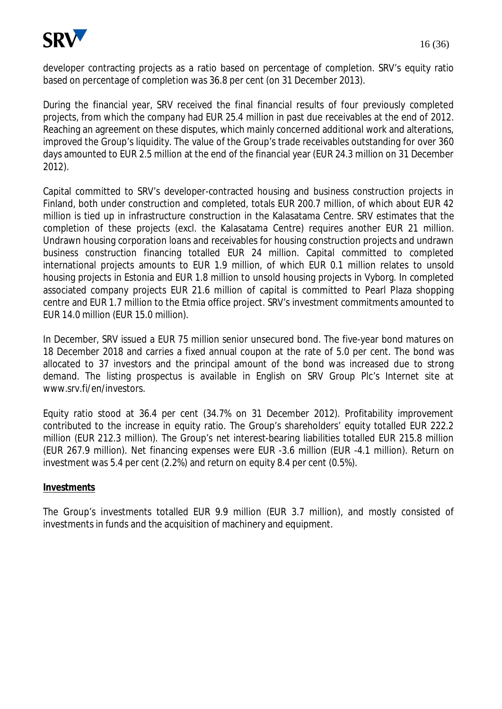

developer contracting projects as a ratio based on percentage of completion. SRV's equity ratio based on percentage of completion was 36.8 per cent (on 31 December 2013).

During the financial year, SRV received the final financial results of four previously completed projects, from which the company had EUR 25.4 million in past due receivables at the end of 2012. Reaching an agreement on these disputes, which mainly concerned additional work and alterations, improved the Group's liquidity. The value of the Group's trade receivables outstanding for over 360 days amounted to EUR 2.5 million at the end of the financial year (EUR 24.3 million on 31 December 2012).

Capital committed to SRV's developer-contracted housing and business construction projects in Finland, both under construction and completed, totals EUR 200.7 million, of which about EUR 42 million is tied up in infrastructure construction in the Kalasatama Centre. SRV estimates that the completion of these projects (excl. the Kalasatama Centre) requires another EUR 21 million. Undrawn housing corporation loans and receivables for housing construction projects and undrawn business construction financing totalled EUR 24 million. Capital committed to completed international projects amounts to EUR 1.9 million, of which EUR 0.1 million relates to unsold housing projects in Estonia and EUR 1.8 million to unsold housing projects in Vyborg. In completed associated company projects EUR 21.6 million of capital is committed to Pearl Plaza shopping centre and EUR 1.7 million to the Etmia office project. SRV's investment commitments amounted to EUR 14.0 million (EUR 15.0 million).

In December, SRV issued a EUR 75 million senior unsecured bond. The five-year bond matures on 18 December 2018 and carries a fixed annual coupon at the rate of 5.0 per cent. The bond was allocated to 37 investors and the principal amount of the bond was increased due to strong demand. The listing prospectus is available in English on SRV Group Plc's Internet site at www.srv.fi/en/investors.

Equity ratio stood at 36.4 per cent (34.7% on 31 December 2012). Profitability improvement contributed to the increase in equity ratio. The Group's shareholders' equity totalled EUR 222.2 million (EUR 212.3 million). The Group's net interest-bearing liabilities totalled EUR 215.8 million (EUR 267.9 million). Net financing expenses were EUR -3.6 million (EUR -4.1 million). Return on investment was 5.4 per cent (2.2%) and return on equity 8.4 per cent (0.5%).

#### **Investments**

The Group's investments totalled EUR 9.9 million (EUR 3.7 million), and mostly consisted of investments in funds and the acquisition of machinery and equipment.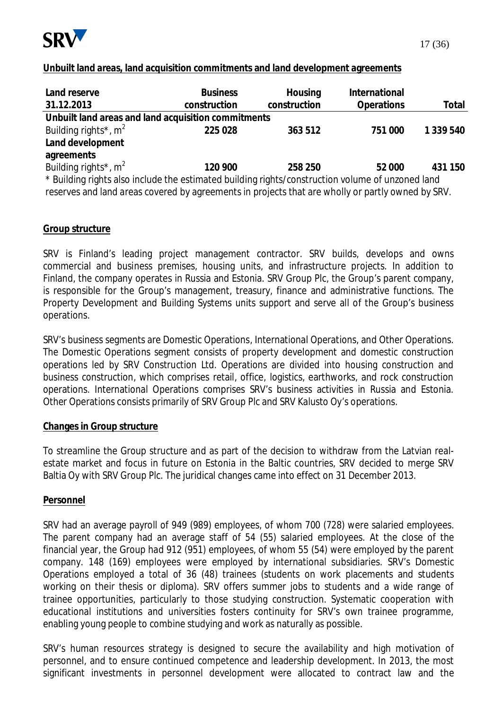

#### **Unbuilt land areas, land acquisition commitments and land development agreements**

| Land reserve                                                                                      | <b>Business</b> | Housing      | International     |           |
|---------------------------------------------------------------------------------------------------|-----------------|--------------|-------------------|-----------|
| 31.12.2013                                                                                        | construction    | construction | <b>Operations</b> | Total     |
| Unbuilt land areas and land acquisition commitments                                               |                 |              |                   |           |
| Building rights <sup>*</sup> , $m^2$                                                              | 225 028         | 363 512      | 751 000           | 1 339 540 |
| Land development                                                                                  |                 |              |                   |           |
| agreements                                                                                        |                 |              |                   |           |
| Building rights <sup>*</sup> , $m^2$                                                              | 120 900         | 258 250      | 52 000            | 431 150   |
| * Building rights also include the estimated building rights/construction volume of unzoned land  |                 |              |                   |           |
| reserves and land areas covered by agreements in projects that are wholly or partly owned by SRV. |                 |              |                   |           |

#### **Group structure**

SRV is Finland's leading project management contractor. SRV builds, develops and owns commercial and business premises, housing units, and infrastructure projects. In addition to Finland, the company operates in Russia and Estonia. SRV Group Plc, the Group's parent company, is responsible for the Group's management, treasury, finance and administrative functions. The Property Development and Building Systems units support and serve all of the Group's business operations.

SRV's business segments are Domestic Operations, International Operations, and Other Operations. The Domestic Operations segment consists of property development and domestic construction operations led by SRV Construction Ltd. Operations are divided into housing construction and business construction, which comprises retail, office, logistics, earthworks, and rock construction operations. International Operations comprises SRV's business activities in Russia and Estonia. Other Operations consists primarily of SRV Group Plc and SRV Kalusto Oy's operations.

#### **Changes in Group structure**

To streamline the Group structure and as part of the decision to withdraw from the Latvian realestate market and focus in future on Estonia in the Baltic countries, SRV decided to merge SRV Baltia Oy with SRV Group Plc. The juridical changes came into effect on 31 December 2013.

#### **Personnel**

SRV had an average payroll of 949 (989) employees, of whom 700 (728) were salaried employees. The parent company had an average staff of 54 (55) salaried employees. At the close of the financial year, the Group had 912 (951) employees, of whom 55 (54) were employed by the parent company. 148 (169) employees were employed by international subsidiaries. SRV's Domestic Operations employed a total of 36 (48) trainees (students on work placements and students working on their thesis or diploma). SRV offers summer jobs to students and a wide range of trainee opportunities, particularly to those studying construction. Systematic cooperation with educational institutions and universities fosters continuity for SRV's own trainee programme, enabling young people to combine studying and work as naturally as possible.

SRV's human resources strategy is designed to secure the availability and high motivation of personnel, and to ensure continued competence and leadership development. In 2013, the most significant investments in personnel development were allocated to contract law and the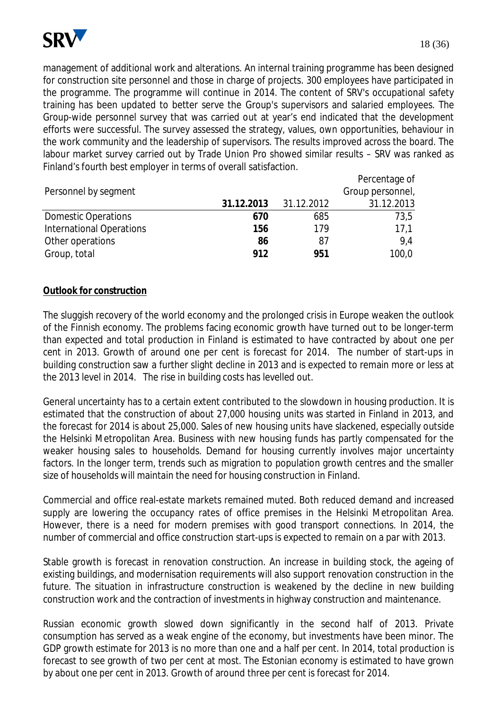

management of additional work and alterations. An internal training programme has been designed for construction site personnel and those in charge of projects. 300 employees have participated in the programme. The programme will continue in 2014. The content of SRV's occupational safety training has been updated to better serve the Group's supervisors and salaried employees. The Group-wide personnel survey that was carried out at year's end indicated that the development efforts were successful. The survey assessed the strategy, values, own opportunities, behaviour in the work community and the leadership of supervisors. The results improved across the board. The labour market survey carried out by Trade Union Pro showed similar results – SRV was ranked as Finland's fourth best employer in terms of overall satisfaction.

|                            |            |            | Percentage of    |
|----------------------------|------------|------------|------------------|
| Personnel by segment       |            |            | Group personnel, |
|                            | 31.12.2013 | 31.12.2012 | 31.12.2013       |
| <b>Domestic Operations</b> | 670        | 685        | 73,5             |
| International Operations   | 156        | 179        | 17.1             |
| Other operations           | 86         | 87         | 9.4              |
| Group, total               | 912        | 951        | 100,0            |

#### **Outlook for construction**

The sluggish recovery of the world economy and the prolonged crisis in Europe weaken the outlook of the Finnish economy. The problems facing economic growth have turned out to be longer-term than expected and total production in Finland is estimated to have contracted by about one per cent in 2013. Growth of around one per cent is forecast for 2014. The number of start-ups in building construction saw a further slight decline in 2013 and is expected to remain more or less at the 2013 level in 2014. The rise in building costs has levelled out.

General uncertainty has to a certain extent contributed to the slowdown in housing production. It is estimated that the construction of about 27,000 housing units was started in Finland in 2013, and the forecast for 2014 is about 25,000. Sales of new housing units have slackened, especially outside the Helsinki Metropolitan Area. Business with new housing funds has partly compensated for the weaker housing sales to households. Demand for housing currently involves major uncertainty factors. In the longer term, trends such as migration to population growth centres and the smaller size of households will maintain the need for housing construction in Finland.

Commercial and office real-estate markets remained muted. Both reduced demand and increased supply are lowering the occupancy rates of office premises in the Helsinki Metropolitan Area. However, there is a need for modern premises with good transport connections. In 2014, the number of commercial and office construction start-ups is expected to remain on a par with 2013.

Stable growth is forecast in renovation construction. An increase in building stock, the ageing of existing buildings, and modernisation requirements will also support renovation construction in the future. The situation in infrastructure construction is weakened by the decline in new building construction work and the contraction of investments in highway construction and maintenance.

Russian economic growth slowed down significantly in the second half of 2013. Private consumption has served as a weak engine of the economy, but investments have been minor. The GDP growth estimate for 2013 is no more than one and a half per cent. In 2014, total production is forecast to see growth of two per cent at most. The Estonian economy is estimated to have grown by about one per cent in 2013. Growth of around three per cent is forecast for 2014.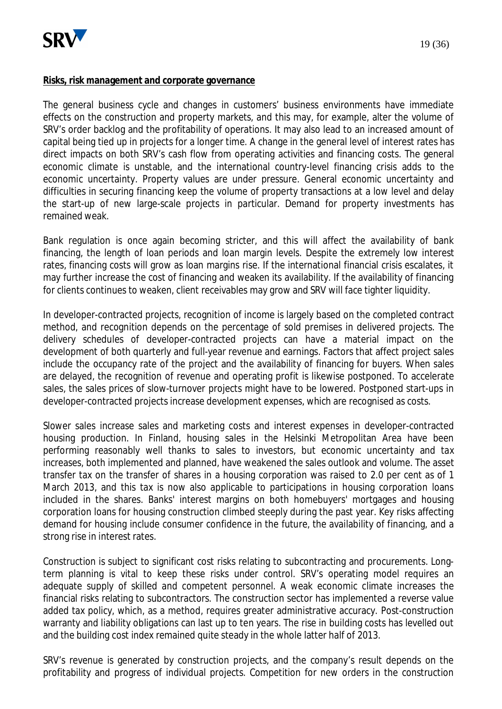

#### **Risks, risk management and corporate governance**

The general business cycle and changes in customers' business environments have immediate effects on the construction and property markets, and this may, for example, alter the volume of SRV's order backlog and the profitability of operations. It may also lead to an increased amount of capital being tied up in projects for a longer time. A change in the general level of interest rates has direct impacts on both SRV's cash flow from operating activities and financing costs. The general economic climate is unstable, and the international country-level financing crisis adds to the economic uncertainty. Property values are under pressure. General economic uncertainty and difficulties in securing financing keep the volume of property transactions at a low level and delay the start-up of new large-scale projects in particular. Demand for property investments has remained weak.

Bank regulation is once again becoming stricter, and this will affect the availability of bank financing, the length of loan periods and loan margin levels. Despite the extremely low interest rates, financing costs will grow as loan margins rise. If the international financial crisis escalates, it may further increase the cost of financing and weaken its availability. If the availability of financing for clients continues to weaken, client receivables may grow and SRV will face tighter liquidity.

In developer-contracted projects, recognition of income is largely based on the completed contract method, and recognition depends on the percentage of sold premises in delivered projects. The delivery schedules of developer-contracted projects can have a material impact on the development of both quarterly and full-year revenue and earnings. Factors that affect project sales include the occupancy rate of the project and the availability of financing for buyers. When sales are delayed, the recognition of revenue and operating profit is likewise postponed. To accelerate sales, the sales prices of slow-turnover projects might have to be lowered. Postponed start-ups in developer-contracted projects increase development expenses, which are recognised as costs.

Slower sales increase sales and marketing costs and interest expenses in developer-contracted housing production. In Finland, housing sales in the Helsinki Metropolitan Area have been performing reasonably well thanks to sales to investors, but economic uncertainty and tax increases, both implemented and planned, have weakened the sales outlook and volume. The asset transfer tax on the transfer of shares in a housing corporation was raised to 2.0 per cent as of 1 March 2013, and this tax is now also applicable to participations in housing corporation loans included in the shares. Banks' interest margins on both homebuyers' mortgages and housing corporation loans for housing construction climbed steeply during the past year. Key risks affecting demand for housing include consumer confidence in the future, the availability of financing, and a strong rise in interest rates.

Construction is subject to significant cost risks relating to subcontracting and procurements. Longterm planning is vital to keep these risks under control. SRV's operating model requires an adequate supply of skilled and competent personnel. A weak economic climate increases the financial risks relating to subcontractors. The construction sector has implemented a reverse value added tax policy, which, as a method, requires greater administrative accuracy. Post-construction warranty and liability obligations can last up to ten years. The rise in building costs has levelled out and the building cost index remained quite steady in the whole latter half of 2013.

SRV's revenue is generated by construction projects, and the company's result depends on the profitability and progress of individual projects. Competition for new orders in the construction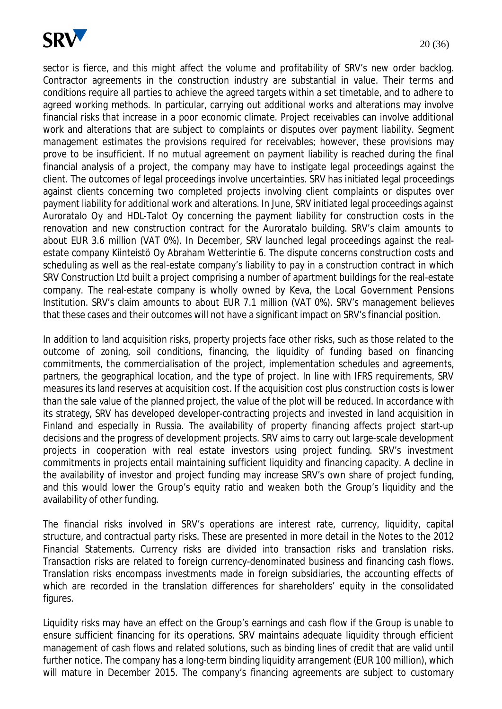

sector is fierce, and this might affect the volume and profitability of SRV's new order backlog. Contractor agreements in the construction industry are substantial in value. Their terms and conditions require all parties to achieve the agreed targets within a set timetable, and to adhere to agreed working methods. In particular, carrying out additional works and alterations may involve financial risks that increase in a poor economic climate. Project receivables can involve additional work and alterations that are subject to complaints or disputes over payment liability. Segment management estimates the provisions required for receivables; however, these provisions may prove to be insufficient. If no mutual agreement on payment liability is reached during the final financial analysis of a project, the company may have to instigate legal proceedings against the client. The outcomes of legal proceedings involve uncertainties. SRV has initiated legal proceedings against clients concerning two completed projects involving client complaints or disputes over payment liability for additional work and alterations. In June, SRV initiated legal proceedings against Auroratalo Oy and HDL-Talot Oy concerning the payment liability for construction costs in the renovation and new construction contract for the Auroratalo building. SRV's claim amounts to about EUR 3.6 million (VAT 0%). In December, SRV launched legal proceedings against the realestate company Kiinteistö Oy Abraham Wetterintie 6. The dispute concerns construction costs and scheduling as well as the real-estate company's liability to pay in a construction contract in which SRV Construction Ltd built a project comprising a number of apartment buildings for the real-estate company. The real-estate company is wholly owned by Keva, the Local Government Pensions Institution. SRV's claim amounts to about EUR 7.1 million (VAT 0%). SRV's management believes that these cases and their outcomes will not have a significant impact on SRV's financial position.

In addition to land acquisition risks, property projects face other risks, such as those related to the outcome of zoning, soil conditions, financing, the liquidity of funding based on financing commitments, the commercialisation of the project, implementation schedules and agreements, partners, the geographical location, and the type of project. In line with IFRS requirements, SRV measures its land reserves at acquisition cost. If the acquisition cost plus construction costs is lower than the sale value of the planned project, the value of the plot will be reduced. In accordance with its strategy, SRV has developed developer-contracting projects and invested in land acquisition in Finland and especially in Russia. The availability of property financing affects project start-up decisions and the progress of development projects. SRV aims to carry out large-scale development projects in cooperation with real estate investors using project funding. SRV's investment commitments in projects entail maintaining sufficient liquidity and financing capacity. A decline in the availability of investor and project funding may increase SRV's own share of project funding, and this would lower the Group's equity ratio and weaken both the Group's liquidity and the availability of other funding.

The financial risks involved in SRV's operations are interest rate, currency, liquidity, capital structure, and contractual party risks. These are presented in more detail in the Notes to the 2012 Financial Statements. Currency risks are divided into transaction risks and translation risks. Transaction risks are related to foreign currency-denominated business and financing cash flows. Translation risks encompass investments made in foreign subsidiaries, the accounting effects of which are recorded in the translation differences for shareholders' equity in the consolidated figures.

Liquidity risks may have an effect on the Group's earnings and cash flow if the Group is unable to ensure sufficient financing for its operations. SRV maintains adequate liquidity through efficient management of cash flows and related solutions, such as binding lines of credit that are valid until further notice. The company has a long-term binding liquidity arrangement (EUR 100 million), which will mature in December 2015. The company's financing agreements are subject to customary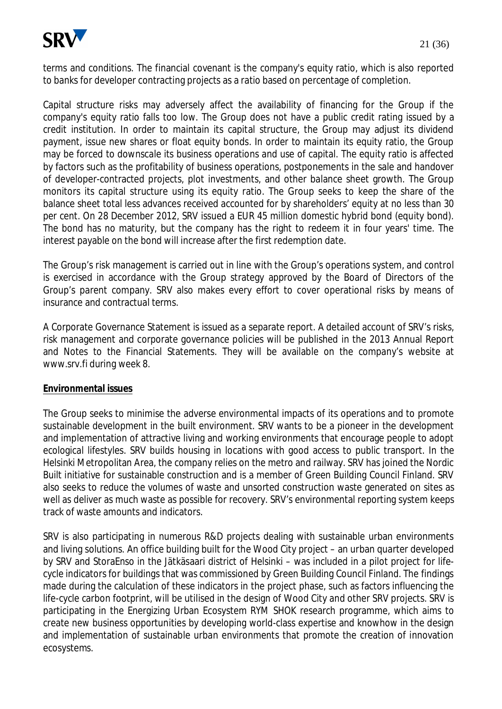

terms and conditions. The financial covenant is the company's equity ratio, which is also reported to banks for developer contracting projects as a ratio based on percentage of completion.

Capital structure risks may adversely affect the availability of financing for the Group if the company's equity ratio falls too low. The Group does not have a public credit rating issued by a credit institution. In order to maintain its capital structure, the Group may adjust its dividend payment, issue new shares or float equity bonds. In order to maintain its equity ratio, the Group may be forced to downscale its business operations and use of capital. The equity ratio is affected by factors such as the profitability of business operations, postponements in the sale and handover of developer-contracted projects, plot investments, and other balance sheet growth. The Group monitors its capital structure using its equity ratio. The Group seeks to keep the share of the balance sheet total less advances received accounted for by shareholders' equity at no less than 30 per cent. On 28 December 2012, SRV issued a EUR 45 million domestic hybrid bond (equity bond). The bond has no maturity, but the company has the right to redeem it in four years' time. The interest payable on the bond will increase after the first redemption date.

The Group's risk management is carried out in line with the Group's operations system, and control is exercised in accordance with the Group strategy approved by the Board of Directors of the Group's parent company. SRV also makes every effort to cover operational risks by means of insurance and contractual terms.

A Corporate Governance Statement is issued as a separate report. A detailed account of SRV's risks, risk management and corporate governance policies will be published in the 2013 Annual Report and Notes to the Financial Statements. They will be available on the company's website at www.srv.fi during week 8.

#### **Environmental issues**

The Group seeks to minimise the adverse environmental impacts of its operations and to promote sustainable development in the built environment. SRV wants to be a pioneer in the development and implementation of attractive living and working environments that encourage people to adopt ecological lifestyles. SRV builds housing in locations with good access to public transport. In the Helsinki Metropolitan Area, the company relies on the metro and railway. SRV has joined the Nordic Built initiative for sustainable construction and is a member of Green Building Council Finland. SRV also seeks to reduce the volumes of waste and unsorted construction waste generated on sites as well as deliver as much waste as possible for recovery. SRV's environmental reporting system keeps track of waste amounts and indicators.

SRV is also participating in numerous R&D projects dealing with sustainable urban environments and living solutions. An office building built for the Wood City project – an urban quarter developed by SRV and StoraEnso in the Jätkäsaari district of Helsinki – was included in a pilot project for lifecycle indicators for buildings that was commissioned by Green Building Council Finland. The findings made during the calculation of these indicators in the project phase, such as factors influencing the life-cycle carbon footprint, will be utilised in the design of Wood City and other SRV projects. SRV is participating in the Energizing Urban Ecosystem RYM SHOK research programme, which aims to create new business opportunities by developing world-class expertise and knowhow in the design and implementation of sustainable urban environments that promote the creation of innovation ecosystems.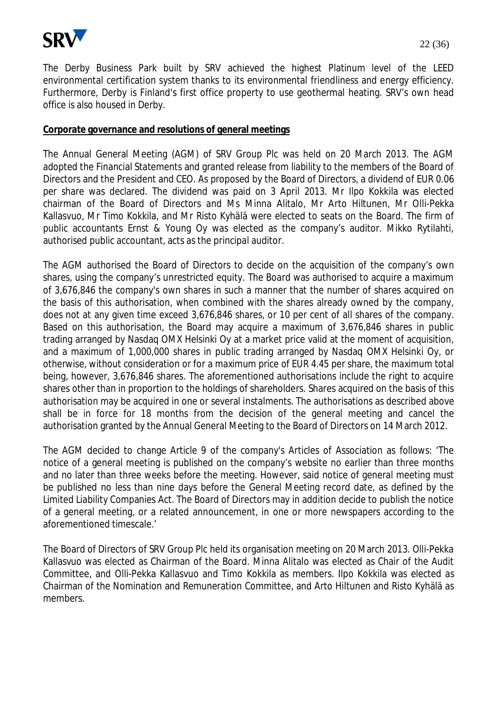

The Derby Business Park built by SRV achieved the highest Platinum level of the LEED environmental certification system thanks to its environmental friendliness and energy efficiency. Furthermore, Derby is Finland's first office property to use geothermal heating. SRV's own head office is also housed in Derby.

#### **Corporate governance and resolutions of general meetings**

The Annual General Meeting (AGM) of SRV Group Plc was held on 20 March 2013. The AGM adopted the Financial Statements and granted release from liability to the members of the Board of Directors and the President and CEO. As proposed by the Board of Directors, a dividend of EUR 0.06 per share was declared. The dividend was paid on 3 April 2013. Mr Ilpo Kokkila was elected chairman of the Board of Directors and Ms Minna Alitalo, Mr Arto Hiltunen, Mr Olli-Pekka Kallasvuo, Mr Timo Kokkila, and Mr Risto Kyhälä were elected to seats on the Board. The firm of public accountants Ernst & Young Oy was elected as the company's auditor. Mikko Rytilahti, authorised public accountant, acts as the principal auditor.

The AGM authorised the Board of Directors to decide on the acquisition of the company's own shares, using the company's unrestricted equity. The Board was authorised to acquire a maximum of 3,676,846 the company's own shares in such a manner that the number of shares acquired on the basis of this authorisation, when combined with the shares already owned by the company, does not at any given time exceed 3,676,846 shares, or 10 per cent of all shares of the company. Based on this authorisation, the Board may acquire a maximum of 3,676,846 shares in public trading arranged by Nasdaq OMX Helsinki Oy at a market price valid at the moment of acquisition, and a maximum of 1,000,000 shares in public trading arranged by Nasdaq OMX Helsinki Oy, or otherwise, without consideration or for a maximum price of EUR 4.45 per share, the maximum total being, however, 3,676,846 shares. The aforementioned authorisations include the right to acquire shares other than in proportion to the holdings of shareholders. Shares acquired on the basis of this authorisation may be acquired in one or several instalments. The authorisations as described above shall be in force for 18 months from the decision of the general meeting and cancel the authorisation granted by the Annual General Meeting to the Board of Directors on 14 March 2012.

The AGM decided to change Article 9 of the company's Articles of Association as follows: 'The notice of a general meeting is published on the company's website no earlier than three months and no later than three weeks before the meeting. However, said notice of general meeting must be published no less than nine days before the General Meeting record date, as defined by the Limited Liability Companies Act. The Board of Directors may in addition decide to publish the notice of a general meeting, or a related announcement, in one or more newspapers according to the aforementioned timescale.'

The Board of Directors of SRV Group Plc held its organisation meeting on 20 March 2013. Olli-Pekka Kallasvuo was elected as Chairman of the Board. Minna Alitalo was elected as Chair of the Audit Committee, and Olli-Pekka Kallasvuo and Timo Kokkila as members. Ilpo Kokkila was elected as Chairman of the Nomination and Remuneration Committee, and Arto Hiltunen and Risto Kyhälä as members.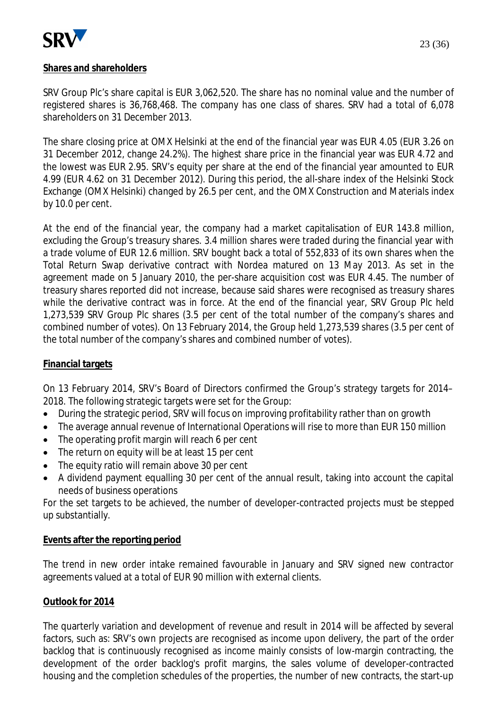

#### **Shares and shareholders**

SRV Group Plc's share capital is EUR 3,062,520. The share has no nominal value and the number of registered shares is 36,768,468. The company has one class of shares. SRV had a total of 6,078 shareholders on 31 December 2013.

The share closing price at OMX Helsinki at the end of the financial year was EUR 4.05 (EUR 3.26 on 31 December 2012, change 24.2%). The highest share price in the financial year was EUR 4.72 and the lowest was EUR 2.95. SRV's equity per share at the end of the financial year amounted to EUR 4.99 (EUR 4.62 on 31 December 2012). During this period, the all-share index of the Helsinki Stock Exchange (OMX Helsinki) changed by 26.5 per cent, and the OMX Construction and Materials index by 10.0 per cent.

At the end of the financial year, the company had a market capitalisation of EUR 143.8 million, excluding the Group's treasury shares. 3.4 million shares were traded during the financial year with a trade volume of EUR 12.6 million. SRV bought back a total of 552,833 of its own shares when the Total Return Swap derivative contract with Nordea matured on 13 May 2013. As set in the agreement made on 5 January 2010, the per-share acquisition cost was EUR 4.45. The number of treasury shares reported did not increase, because said shares were recognised as treasury shares while the derivative contract was in force. At the end of the financial year, SRV Group Plc held 1,273,539 SRV Group Plc shares (3.5 per cent of the total number of the company's shares and combined number of votes). On 13 February 2014, the Group held 1,273,539 shares (3.5 per cent of the total number of the company's shares and combined number of votes).

#### **Financial targets**

On 13 February 2014, SRV's Board of Directors confirmed the Group's strategy targets for 2014– 2018. The following strategic targets were set for the Group:

- During the strategic period, SRV will focus on improving profitability rather than on growth
- The average annual revenue of International Operations will rise to more than EUR 150 million
- $\bullet$  The operating profit margin will reach 6 per cent
- The return on equity will be at least 15 per cent
- $\bullet$  The equity ratio will remain above 30 per cent
- A dividend payment equalling 30 per cent of the annual result, taking into account the capital needs of business operations

For the set targets to be achieved, the number of developer-contracted projects must be stepped up substantially.

#### **Events after the reporting period**

The trend in new order intake remained favourable in January and SRV signed new contractor agreements valued at a total of EUR 90 million with external clients.

#### **Outlook for 2014**

The quarterly variation and development of revenue and result in 2014 will be affected by several factors, such as: SRV's own projects are recognised as income upon delivery, the part of the order backlog that is continuously recognised as income mainly consists of low-margin contracting, the development of the order backlog's profit margins, the sales volume of developer-contracted housing and the completion schedules of the properties, the number of new contracts, the start-up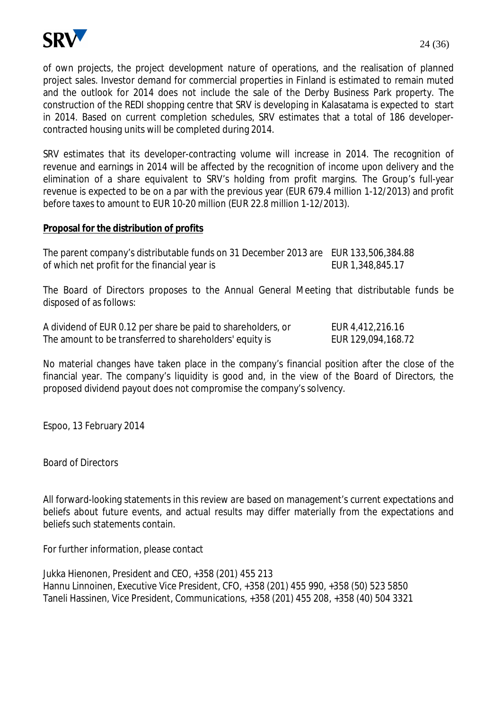

of own projects, the project development nature of operations, and the realisation of planned project sales. Investor demand for commercial properties in Finland is estimated to remain muted and the outlook for 2014 does not include the sale of the Derby Business Park property. The construction of the REDI shopping centre that SRV is developing in Kalasatama is expected to start in 2014. Based on current completion schedules, SRV estimates that a total of 186 developercontracted housing units will be completed during 2014.

SRV estimates that its developer-contracting volume will increase in 2014. The recognition of revenue and earnings in 2014 will be affected by the recognition of income upon delivery and the elimination of a share equivalent to SRV's holding from profit margins. The Group's full-year revenue is expected to be on a par with the previous year (EUR 679.4 million 1-12/2013) and profit before taxes to amount to EUR 10-20 million (EUR 22.8 million 1-12/2013).

#### **Proposal for the distribution of profits**

| The parent company's distributable funds on 31 December 2013 are EUR 133,506,384.88 |                  |
|-------------------------------------------------------------------------------------|------------------|
| of which net profit for the financial year is                                       | EUR 1,348,845.17 |

The Board of Directors proposes to the Annual General Meeting that distributable funds be disposed of as follows:

A dividend of EUR 0.12 per share be paid to shareholders, or EUR 4,412,216.16 The amount to be transferred to shareholders' equity is EUR 129,094,168.72

No material changes have taken place in the company's financial position after the close of the financial year. The company's liquidity is good and, in the view of the Board of Directors, the proposed dividend payout does not compromise the company's solvency.

Espoo, 13 February 2014

Board of Directors

All forward-looking statements in this review are based on management's current expectations and beliefs about future events, and actual results may differ materially from the expectations and beliefs such statements contain.

For further information, please contact

Jukka Hienonen, President and CEO, +358 (201) 455 213 Hannu Linnoinen, Executive Vice President, CFO, +358 (201) 455 990, +358 (50) 523 5850 Taneli Hassinen, Vice President, Communications, +358 (201) 455 208, +358 (40) 504 3321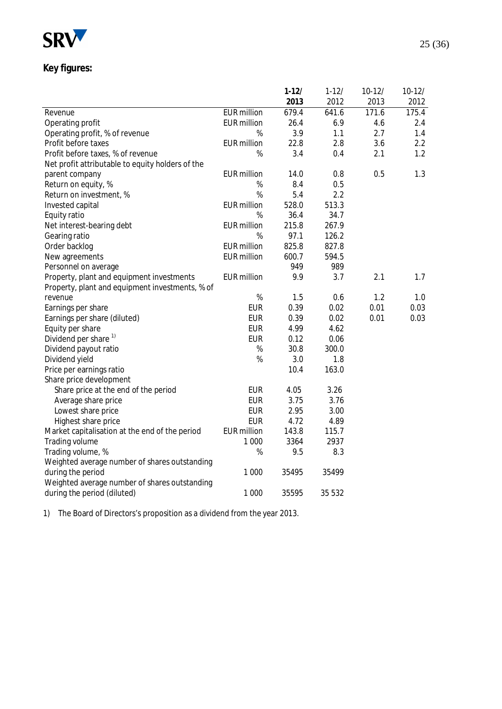

## **Key figures:**

|                                                  |                    | $1 - 12/$ | $1 - 12/$ | $10-12/$ | $10-12/$ |
|--------------------------------------------------|--------------------|-----------|-----------|----------|----------|
|                                                  |                    | 2013      | 2012      | 2013     | 2012     |
| Revenue                                          | <b>EUR</b> million | 679.4     | 641.6     | 171.6    | 175.4    |
| Operating profit                                 | <b>EUR million</b> | 26.4      | 6.9       | 4.6      | 2.4      |
| Operating profit, % of revenue                   | %                  | 3.9       | 1.1       | 2.7      | 1.4      |
| Profit before taxes                              | <b>EUR</b> million | 22.8      | 2.8       | 3.6      | 2.2      |
| Profit before taxes, % of revenue                | %                  | 3.4       | 0.4       | 2.1      | 1.2      |
| Net profit attributable to equity holders of the |                    |           |           |          |          |
| parent company                                   | <b>EUR</b> million | 14.0      | 0.8       | 0.5      | 1.3      |
| Return on equity, %                              | %                  | 8.4       | 0.5       |          |          |
| Return on investment, %                          | %                  | 5.4       | 2.2       |          |          |
| Invested capital                                 | <b>EUR</b> million | 528.0     | 513.3     |          |          |
| Equity ratio                                     | %                  | 36.4      | 34.7      |          |          |
| Net interest-bearing debt                        | <b>EUR</b> million | 215.8     | 267.9     |          |          |
| Gearing ratio                                    | %                  | 97.1      | 126.2     |          |          |
| Order backlog                                    | <b>EUR</b> million | 825.8     | 827.8     |          |          |
| New agreements                                   | <b>EUR</b> million | 600.7     | 594.5     |          |          |
| Personnel on average                             |                    | 949       | 989       |          |          |
| Property, plant and equipment investments        | <b>EUR</b> million | 9.9       | 3.7       | 2.1      | 1.7      |
| Property, plant and equipment investments, % of  |                    |           |           |          |          |
| revenue                                          | $\%$               | 1.5       | 0.6       | 1.2      | 1.0      |
| Earnings per share                               | <b>EUR</b>         | 0.39      | 0.02      | 0.01     | 0.03     |
| Earnings per share (diluted)                     | <b>EUR</b>         | 0.39      | 0.02      | 0.01     | 0.03     |
| Equity per share                                 | <b>EUR</b>         | 4.99      | 4.62      |          |          |
| Dividend per share <sup>1)</sup>                 | <b>EUR</b>         | 0.12      | 0.06      |          |          |
| Dividend payout ratio                            | $\%$               | 30.8      | 300.0     |          |          |
| Dividend yield                                   | %                  | 3.0       | 1.8       |          |          |
| Price per earnings ratio                         |                    | 10.4      | 163.0     |          |          |
| Share price development                          |                    |           |           |          |          |
| Share price at the end of the period             | <b>EUR</b>         | 4.05      | 3.26      |          |          |
| Average share price                              | <b>EUR</b>         | 3.75      | 3.76      |          |          |
| Lowest share price                               | <b>EUR</b>         | 2.95      | 3.00      |          |          |
| Highest share price                              | <b>EUR</b>         | 4.72      | 4.89      |          |          |
| Market capitalisation at the end of the period   | <b>EUR</b> million | 143.8     | 115.7     |          |          |
| Trading volume                                   | 1 0 0 0            | 3364      | 2937      |          |          |
| Trading volume, %                                | %                  | 9.5       | 8.3       |          |          |
| Weighted average number of shares outstanding    |                    |           |           |          |          |
| during the period                                | 1 0 0 0            | 35495     | 35499     |          |          |
| Weighted average number of shares outstanding    |                    |           |           |          |          |
| during the period (diluted)                      | 1 0 0 0            | 35595     | 35 532    |          |          |
|                                                  |                    |           |           |          |          |

1) The Board of Directors's proposition as a dividend from the year 2013.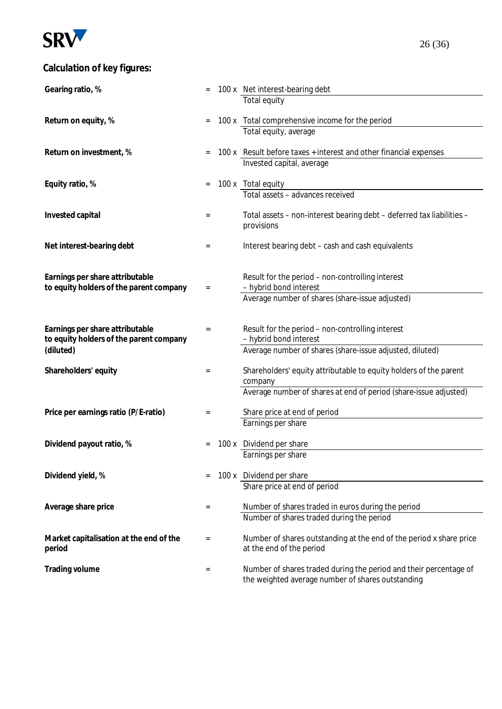

## **Calculation of key figures:**

| Gearing ratio, %                                                                        |          | 100 x Net interest-bearing debt<br>Total equity                                                                                                  |
|-----------------------------------------------------------------------------------------|----------|--------------------------------------------------------------------------------------------------------------------------------------------------|
| Return on equity, %                                                                     | $=$      | 100 x Total comprehensive income for the period<br>Total equity, average                                                                         |
| Return on investment, %                                                                 | $=$      | 100 x Result before taxes + interest and other financial expenses<br>Invested capital, average                                                   |
| Equity ratio, %                                                                         | $=$      | 100 x Total equity<br>Total assets - advances received                                                                                           |
| Invested capital                                                                        | $=$      | Total assets - non-interest bearing debt - deferred tax liabilities -<br>provisions                                                              |
| Net interest-bearing debt                                                               | $=$      | Interest bearing debt - cash and cash equivalents                                                                                                |
| Earnings per share attributable<br>to equity holders of the parent company              | $=$      | Result for the period - non-controlling interest<br>- hybrid bond interest<br>Average number of shares (share-issue adjusted)                    |
| Earnings per share attributable<br>to equity holders of the parent company<br>(diluted) | $=$      | Result for the period - non-controlling interest<br>- hybrid bond interest<br>Average number of shares (share-issue adjusted, diluted)           |
| Shareholders' equity                                                                    | $=$      | Shareholders' equity attributable to equity holders of the parent<br>company<br>Average number of shares at end of period (share-issue adjusted) |
| Price per earnings ratio (P/E-ratio)                                                    | $=$      | Share price at end of period<br>Earnings per share                                                                                               |
| Dividend payout ratio, %                                                                |          | 100 x Dividend per share<br>Earnings per share                                                                                                   |
| Dividend yield, %                                                                       | $=$      | 100 x Dividend per share<br>Share price at end of period                                                                                         |
| Average share price                                                                     | $\equiv$ | Number of shares traded in euros during the period<br>Number of shares traded during the period                                                  |
| Market capitalisation at the end of the<br>period                                       | $=$      | Number of shares outstanding at the end of the period x share price<br>at the end of the period                                                  |
| Trading volume                                                                          | $=$      | Number of shares traded during the period and their percentage of<br>the weighted average number of shares outstanding                           |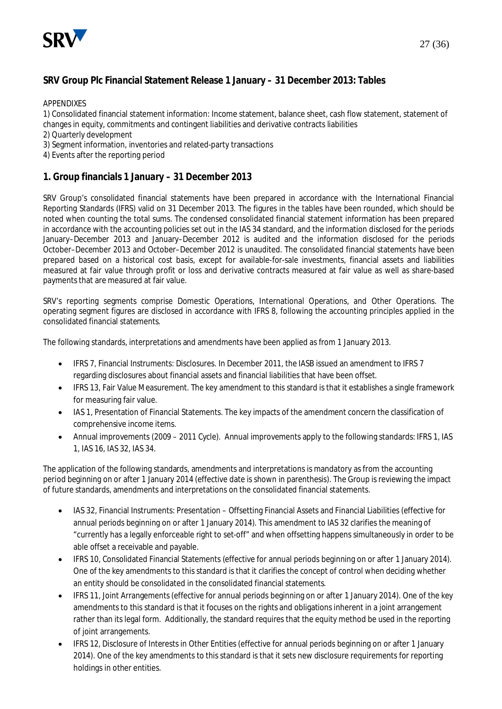

#### **SRV Group Plc Financial Statement Release 1 January – 31 December 2013: Tables**

APPENDIXES

1) Consolidated financial statement information: Income statement, balance sheet, cash flow statement, statement of changes in equity, commitments and contingent liabilities and derivative contracts liabilities

- 2) Quarterly development
- 3) Segment information, inventories and related-party transactions
- 4) Events after the reporting period

#### **1. Group financials 1 January – 31 December 2013**

SRV Group's consolidated financial statements have been prepared in accordance with the International Financial Reporting Standards (IFRS) valid on 31 December 2013. The figures in the tables have been rounded, which should be noted when counting the total sums. The condensed consolidated financial statement information has been prepared in accordance with the accounting policies set out in the IAS 34 standard, and the information disclosed for the periods January–December 2013 and January–December 2012 is audited and the information disclosed for the periods October–December 2013 and October–December 2012 is unaudited. The consolidated financial statements have been prepared based on a historical cost basis, except for available-for-sale investments, financial assets and liabilities measured at fair value through profit or loss and derivative contracts measured at fair value as well as share-based payments that are measured at fair value.

SRV's reporting segments comprise Domestic Operations, International Operations, and Other Operations. The operating segment figures are disclosed in accordance with IFRS 8, following the accounting principles applied in the consolidated financial statements.

The following standards, interpretations and amendments have been applied as from 1 January 2013.

- IFRS 7, Financial Instruments: Disclosures. In December 2011, the IASB issued an amendment to IFRS 7 regarding disclosures about financial assets and financial liabilities that have been offset.
- x IFRS 13, Fair Value Measurement. The key amendment to this standard is that it establishes a single framework for measuring fair value.
- IAS 1, Presentation of Financial Statements. The key impacts of the amendment concern the classification of comprehensive income items.
- Annual improvements (2009 2011 Cycle). Annual improvements apply to the following standards: IFRS 1, IAS 1, IAS 16, IAS 32, IAS 34.

The application of the following standards, amendments and interpretations is mandatory as from the accounting period beginning on or after 1 January 2014 (effective date is shown in parenthesis). The Group is reviewing the impact of future standards, amendments and interpretations on the consolidated financial statements.

- x IAS 32, Financial Instruments: Presentation Offsetting Financial Assets and Financial Liabilities (effective for annual periods beginning on or after 1 January 2014). This amendment to IAS 32 clarifies the meaning of "currently has a legally enforceable right to set-off" and when offsetting happens simultaneously in order to be able offset a receivable and payable.
- IFRS 10, Consolidated Financial Statements (effective for annual periods beginning on or after 1 January 2014). One of the key amendments to this standard is that it clarifies the concept of control when deciding whether an entity should be consolidated in the consolidated financial statements.
- x IFRS 11, Joint Arrangements (effective for annual periods beginning on or after 1 January 2014). One of the key amendments to this standard is that it focuses on the rights and obligations inherent in a joint arrangement rather than its legal form. Additionally, the standard requires that the equity method be used in the reporting of joint arrangements.
- IFRS 12, Disclosure of Interests in Other Entities (effective for annual periods beginning on or after 1 January 2014). One of the key amendments to this standard is that it sets new disclosure requirements for reporting holdings in other entities.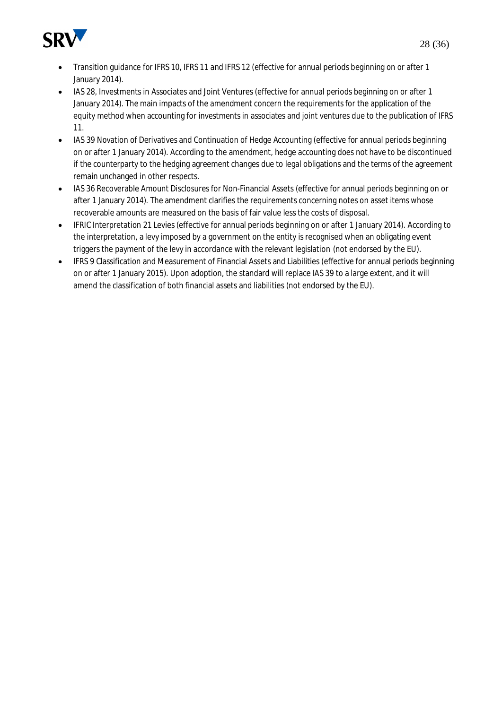

- x Transition guidance for IFRS 10, IFRS 11 and IFRS 12 (effective for annual periods beginning on or after 1 January 2014).
- IAS 28, Investments in Associates and Joint Ventures (effective for annual periods beginning on or after 1 January 2014). The main impacts of the amendment concern the requirements for the application of the equity method when accounting for investments in associates and joint ventures due to the publication of IFRS 11.
- IAS 39 Novation of Derivatives and Continuation of Hedge Accounting (effective for annual periods beginning on or after 1 January 2014). According to the amendment, hedge accounting does not have to be discontinued if the counterparty to the hedging agreement changes due to legal obligations and the terms of the agreement remain unchanged in other respects.
- IAS 36 Recoverable Amount Disclosures for Non-Financial Assets (effective for annual periods beginning on or after 1 January 2014). The amendment clarifies the requirements concerning notes on asset items whose recoverable amounts are measured on the basis of fair value less the costs of disposal.
- IFRIC Interpretation 21 Levies (effective for annual periods beginning on or after 1 January 2014). According to the interpretation, a levy imposed by a government on the entity is recognised when an obligating event triggers the payment of the levy in accordance with the relevant legislation (not endorsed by the EU).
- IFRS 9 Classification and Measurement of Financial Assets and Liabilities (effective for annual periods beginning on or after 1 January 2015). Upon adoption, the standard will replace IAS 39 to a large extent, and it will amend the classification of both financial assets and liabilities (not endorsed by the EU).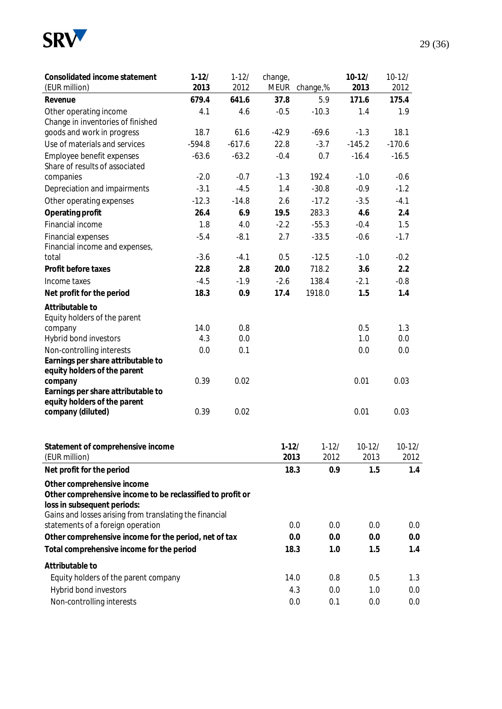

| Consolidated income statement                                                                | $1-12/$  | $1 - 12/$ | change,     |           | $10-12/$ | $10-12/$ |
|----------------------------------------------------------------------------------------------|----------|-----------|-------------|-----------|----------|----------|
| (EUR million)                                                                                | 2013     | 2012      | <b>MEUR</b> | change,%  | 2013     | 2012     |
| Revenue                                                                                      | 679.4    | 641.6     | 37.8        | 5.9       | 171.6    | 175.4    |
| Other operating income                                                                       | 4.1      | 4.6       | $-0.5$      | $-10.3$   | 1.4      | 1.9      |
| Change in inventories of finished                                                            |          |           |             |           |          |          |
| goods and work in progress                                                                   | 18.7     | 61.6      | $-42.9$     | $-69.6$   | $-1.3$   | 18.1     |
| Use of materials and services                                                                | $-594.8$ | $-617.6$  | 22.8        | $-3.7$    | $-145.2$ | $-170.6$ |
| Employee benefit expenses<br>Share of results of associated                                  | $-63.6$  | $-63.2$   | $-0.4$      | 0.7       | $-16.4$  | $-16.5$  |
| companies                                                                                    | $-2.0$   | $-0.7$    | $-1.3$      | 192.4     | $-1.0$   | $-0.6$   |
| Depreciation and impairments                                                                 | $-3.1$   | $-4.5$    | 1.4         | $-30.8$   | $-0.9$   | $-1.2$   |
| Other operating expenses                                                                     | $-12.3$  | $-14.8$   | 2.6         | $-17.2$   | $-3.5$   | $-4.1$   |
| Operating profit                                                                             | 26.4     | 6.9       | 19.5        | 283.3     | 4.6      | 2.4      |
| Financial income                                                                             | 1.8      | 4.0       | $-2.2$      | $-55.3$   | $-0.4$   | 1.5      |
| <b>Financial expenses</b>                                                                    | $-5.4$   | $-8.1$    | 2.7         | $-33.5$   | $-0.6$   | $-1.7$   |
| Financial income and expenses,                                                               |          |           |             |           |          |          |
| total                                                                                        | $-3.6$   | $-4.1$    | 0.5         | $-12.5$   | $-1.0$   | $-0.2$   |
| Profit before taxes                                                                          | 22.8     | 2.8       | 20.0        | 718.2     | 3.6      | 2.2      |
| Income taxes                                                                                 | $-4.5$   | $-1.9$    | $-2.6$      | 138.4     | $-2.1$   | $-0.8$   |
| Net profit for the period                                                                    | 18.3     | 0.9       | 17.4        | 1918.0    | 1.5      | 1.4      |
| Attributable to                                                                              |          |           |             |           |          |          |
| Equity holders of the parent                                                                 |          |           |             |           |          |          |
| company                                                                                      | 14.0     | 0.8       |             |           | 0.5      | 1.3      |
| Hybrid bond investors                                                                        | 4.3      | 0.0       |             |           | 1.0      | 0.0      |
| Non-controlling interests                                                                    | 0.0      | 0.1       |             |           | 0.0      | 0.0      |
| Earnings per share attributable to                                                           |          |           |             |           |          |          |
| equity holders of the parent                                                                 |          |           |             |           |          |          |
| company<br>Earnings per share attributable to                                                | 0.39     | 0.02      |             |           | 0.01     | 0.03     |
| equity holders of the parent                                                                 |          |           |             |           |          |          |
| company (diluted)                                                                            | 0.39     | 0.02      |             |           | 0.01     | 0.03     |
|                                                                                              |          |           |             |           |          |          |
|                                                                                              |          |           |             |           |          |          |
| Statement of comprehensive income                                                            |          |           | $1-12/$     | $1 - 12/$ | $10-12/$ | $10-12/$ |
| (EUR million)                                                                                |          |           | 2013        | 2012      | 2013     | 2012     |
| Net profit for the period                                                                    |          |           | 18.3        | 0.9       | 1.5      | 1.4      |
| Other comprehensive income                                                                   |          |           |             |           |          |          |
| Other comprehensive income to be reclassified to profit or                                   |          |           |             |           |          |          |
| loss in subsequent periods:                                                                  |          |           |             |           |          |          |
| Gains and losses arising from translating the financial<br>statements of a foreign operation |          |           | 0.0         | 0.0       | 0.0      | 0.0      |
| Other comprehensive income for the period, net of tax                                        |          |           | 0.0         | 0.0       | 0.0      | 0.0      |
| Total comprehensive income for the period                                                    |          |           | 18.3        | 1.0       | 1.5      | 1.4      |
|                                                                                              |          |           |             |           |          |          |
| Attributable to                                                                              |          |           |             |           |          |          |
| Equity holders of the parent company                                                         |          |           | 14.0        | 0.8       | 0.5      | 1.3      |
| Hybrid bond investors                                                                        |          |           | 4.3         | 0.0       | 1.0      | 0.0      |
| Non-controlling interests                                                                    |          |           | 0.0         | 0.1       | 0.0      | 0.0      |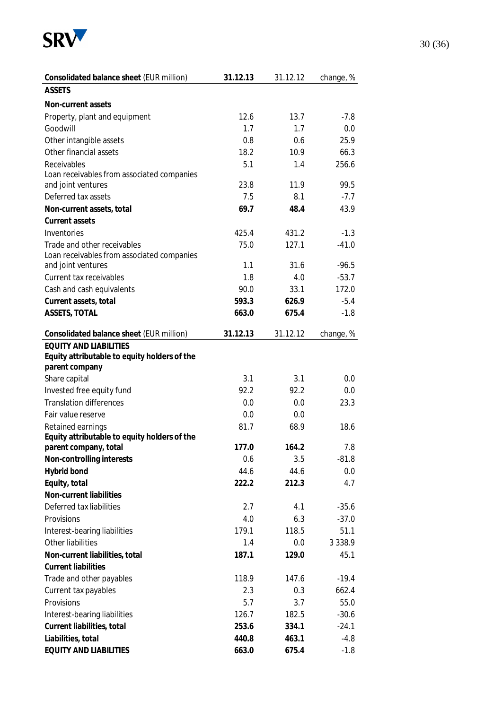

| Consolidated balance sheet (EUR million)                       | 31.12.13   | 31.12.12 | change, %   |
|----------------------------------------------------------------|------------|----------|-------------|
| <b>ASSETS</b>                                                  |            |          |             |
| Non-current assets                                             |            |          |             |
| Property, plant and equipment                                  | 12.6       | 13.7     | $-7.8$      |
| Goodwill                                                       | 1.7        | 1.7      | 0.0         |
| Other intangible assets                                        | 0.8        | 0.6      | 25.9        |
| Other financial assets                                         | 18.2       | 10.9     | 66.3        |
| Receivables                                                    | 5.1        | 1.4      | 256.6       |
| Loan receivables from associated companies                     |            |          |             |
| and joint ventures                                             | 23.8       | 11.9     | 99.5        |
| Deferred tax assets                                            | 7.5        | 8.1      | $-7.7$      |
| Non-current assets, total                                      | 69.7       | 48.4     | 43.9        |
| Current assets                                                 |            |          |             |
| Inventories                                                    | 425.4      | 431.2    | $-1.3$      |
| Trade and other receivables                                    | 75.0       | 127.1    | $-41.0$     |
| Loan receivables from associated companies                     |            |          | $-96.5$     |
| and joint ventures<br>Current tax receivables                  | 1.1<br>1.8 | 31.6     | $-53.7$     |
|                                                                |            | 4.0      |             |
| Cash and cash equivalents                                      | 90.0       | 33.1     | 172.0       |
| Current assets, total                                          | 593.3      | 626.9    | $-5.4$      |
| ASSETS, TOTAL                                                  | 663.0      | 675.4    | $-1.8$      |
| Consolidated balance sheet (EUR million)                       | 31.12.13   | 31.12.12 | change, %   |
| <b>EQUITY AND LIABILITIES</b>                                  |            |          |             |
| Equity attributable to equity holders of the<br>parent company |            |          |             |
| Share capital                                                  | 3.1        | 3.1      | 0.0         |
| Invested free equity fund                                      | 92.2       | 92.2     | 0.0         |
| <b>Translation differences</b>                                 | 0.0        | 0.0      | 23.3        |
| Fair value reserve                                             | 0.0        | 0.0      |             |
| Retained earnings                                              | 81.7       | 68.9     | 18.6        |
| Equity attributable to equity holders of the                   |            |          |             |
| parent company, total                                          | 177.0      | 164.2    | 7.8         |
| Non-controlling interests                                      | 0.6        | 3.5      | $-81.8$     |
| Hybrid bond                                                    | 44.6       | 44.6     | 0.0         |
| Equity, total                                                  | 222.2      | 212.3    | 4.7         |
| Non-current liabilities                                        |            |          |             |
| Deferred tax liabilities                                       | 2.7        | 4.1      | $-35.6$     |
| Provisions                                                     | 4.0        | 6.3      | $-37.0$     |
| Interest-bearing liabilities                                   | 179.1      | 118.5    | 51.1        |
| Other liabilities                                              | 1.4        | 0.0      | 3 3 3 8 . 9 |
| Non-current liabilities, total                                 | 187.1      | 129.0    | 45.1        |
| <b>Current liabilities</b>                                     |            |          |             |
| Trade and other payables                                       | 118.9      | 147.6    | $-19.4$     |
| Current tax payables                                           | 2.3        | 0.3      | 662.4       |
| Provisions                                                     | 5.7        | 3.7      | 55.0        |
| Interest-bearing liabilities                                   | 126.7      | 182.5    | $-30.6$     |
| Current liabilities, total                                     | 253.6      | 334.1    | $-24.1$     |
| Liabilities, total                                             | 440.8      | 463.1    | $-4.8$      |
| EQUITY AND LIABILITIES                                         | 663.0      | 675.4    | $-1.8$      |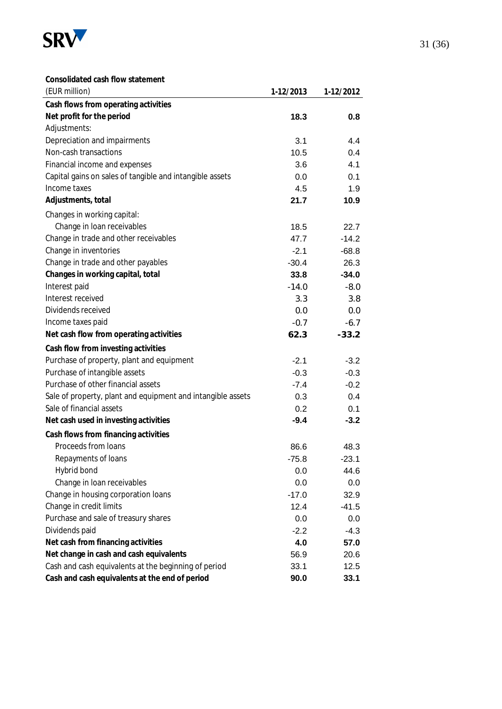

**Consolidated cash flow statement**

| (EUR million)                                               | 1-12/2013 | 1-12/2012 |
|-------------------------------------------------------------|-----------|-----------|
| Cash flows from operating activities                        |           |           |
| Net profit for the period                                   | 18.3      | 0.8       |
| Adjustments:                                                |           |           |
| Depreciation and impairments                                | 3.1       | 4.4       |
| Non-cash transactions                                       | 10.5      | 0.4       |
| Financial income and expenses                               | 3.6       | 4.1       |
| Capital gains on sales of tangible and intangible assets    | 0.0       | 0.1       |
| Income taxes                                                | 4.5       | 1.9       |
| Adjustments, total                                          | 21.7      | 10.9      |
| Changes in working capital:                                 |           |           |
| Change in loan receivables                                  | 18.5      | 22.7      |
| Change in trade and other receivables                       | 47.7      | $-14.2$   |
| Change in inventories                                       | $-2.1$    | $-68.8$   |
| Change in trade and other payables                          | $-30.4$   | 26.3      |
| Changes in working capital, total                           | 33.8      | $-34.0$   |
| Interest paid                                               | $-14.0$   | $-8.0$    |
| Interest received                                           | 3.3       | 3.8       |
| Dividends received                                          | 0.0       | 0.0       |
| Income taxes paid                                           | $-0.7$    | $-6.7$    |
| Net cash flow from operating activities                     | 62.3      | $-33.2$   |
| Cash flow from investing activities                         |           |           |
| Purchase of property, plant and equipment                   | $-2.1$    | $-3.2$    |
| Purchase of intangible assets                               | $-0.3$    | $-0.3$    |
| Purchase of other financial assets                          | $-7.4$    | $-0.2$    |
| Sale of property, plant and equipment and intangible assets | 0.3       | 0.4       |
| Sale of financial assets                                    | 0.2       | 0.1       |
| Net cash used in investing activities                       | $-9.4$    | $-3.2$    |
| Cash flows from financing activities                        |           |           |
| Proceeds from loans                                         | 86.6      | 48.3      |
| Repayments of loans                                         | $-75.8$   | -23.1     |
| Hybrid bond                                                 | 0.0       | 44.6      |
| Change in loan receivables                                  | 0.0       | 0.0       |
| Change in housing corporation loans                         | $-17.0$   | 32.9      |
| Change in credit limits                                     | 12.4      | $-41.5$   |
| Purchase and sale of treasury shares                        | 0.0       | 0.0       |
| Dividends paid                                              | $-2.2$    | $-4.3$    |
| Net cash from financing activities                          | 4.0       | 57.0      |
| Net change in cash and cash equivalents                     | 56.9      | 20.6      |
| Cash and cash equivalents at the beginning of period        | 33.1      | 12.5      |
| Cash and cash equivalents at the end of period              | 90.0      | 33.1      |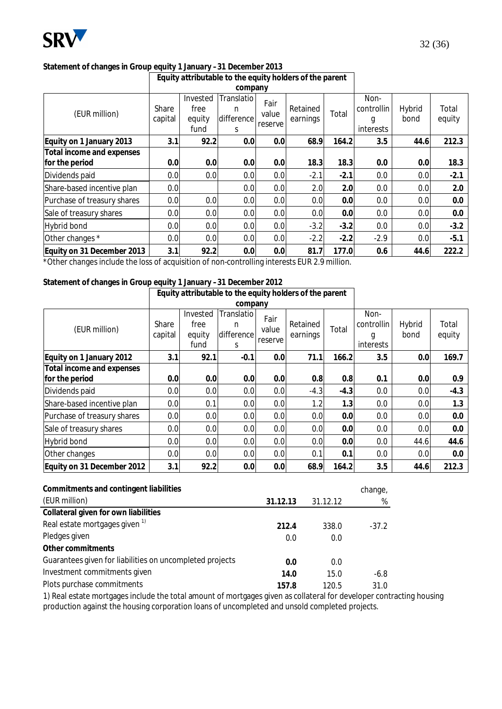

# **Statement of changes in Group equity 1 January –31 December 2013**

|                                             | Equity attributable to the equity holders of the parent |                                    |                                    |                          |                      |        |                                      |                |                 |
|---------------------------------------------|---------------------------------------------------------|------------------------------------|------------------------------------|--------------------------|----------------------|--------|--------------------------------------|----------------|-----------------|
|                                             |                                                         |                                    | company                            |                          |                      |        |                                      |                |                 |
| (EUR million)                               | Share<br>capital                                        | Invested<br>free<br>equity<br>fund | Translatio<br>n<br>difference<br>S | Fair<br>value<br>reserve | Retained<br>earnings | Total  | Non-<br>controllin<br>g<br>interests | Hybrid<br>bond | Total<br>equity |
| Equity on 1 January 2013                    | 3.1                                                     | 92.2                               | 0.0                                | 0.0                      | 68.9                 | 164.2  | 3.5                                  | 44.6           | 212.3           |
| Total income and expenses<br>for the period | 0.0                                                     | 0.0                                | 0.0                                | 0.0                      | 18.3                 | 18.3   | 0.0                                  | 0.0            | 18.3            |
| Dividends paid                              | 0.0                                                     | 0.0                                | 0.0                                | 0.0                      | $-2.1$               | $-2.1$ | 0.0                                  | 0.0            | $-2.1$          |
| Share-based incentive plan                  | 0.0                                                     |                                    | 0.0                                | 0.0                      | 2.0                  | 2.0    | 0.0                                  | 0.0            | 2.0             |
| Purchase of treasury shares                 | 0.0                                                     | 0.0                                | 0.0                                | 0.0                      | 0.0                  | 0.0    | 0.0                                  | 0.0            | 0.0             |
| Sale of treasury shares                     | 0.0                                                     | 0.0                                | 0.0                                | 0.0                      | 0.0                  | 0.0    | 0.0                                  | 0.0            | 0.0             |
| <b>Hybrid bond</b>                          | 0.0                                                     | 0.0                                | 0.0                                | 0.0                      | $-3.2$               | $-3.2$ | 0.0                                  | 0.0            | $-3.2$          |
| Other changes *                             | 0.0                                                     | 0.0                                | 0.0                                | 0.0                      | $-2.2$               | $-2.2$ | $-2.9$                               | 0.0            | $-5.1$          |
| Equity on 31 December 2013                  | 3.1                                                     | 92.2                               | 0.0                                | 0.0                      | 81.7                 | 177.0  | 0.6                                  | 44.6           | 222.2           |

\*Other changes include the loss of acquisition of non-controlling interests EUR 2.9 million.

#### **Statement of changes in Group equity 1 January –31 December 2012 Equity attributable to the equity holders of the parent**

|                             | Equity attributable to the equity holders of the parent |                                    |                                    |                          |                      |        |                                      |                  |                 |
|-----------------------------|---------------------------------------------------------|------------------------------------|------------------------------------|--------------------------|----------------------|--------|--------------------------------------|------------------|-----------------|
|                             |                                                         |                                    | company                            |                          |                      |        |                                      |                  |                 |
| (EUR million)               | Share<br>capital                                        | Invested<br>free<br>equity<br>fund | Translatio<br>n<br>difference<br>S | Fair<br>value<br>reserve | Retained<br>earnings | Total  | Non-<br>controllin<br>g<br>interests | Hybrid<br>bond   | Total<br>equity |
| Equity on 1 January 2012    | 3.1                                                     | 92.1                               | $-0.1$                             | 0.0                      | 71.1                 | 166.2  | 3.5                                  | 0.0              | 169.7           |
| Total income and expenses   |                                                         |                                    |                                    |                          |                      |        |                                      |                  |                 |
| for the period              | 0.0                                                     | 0.0                                | 0.0                                | 0.0                      | 0.8                  | 0.8    | 0.1                                  | 0.0              | 0.9             |
| Dividends paid              | 0.0                                                     | 0.0                                | 0.0                                | 0.0                      | $-4.3$               | $-4.3$ | 0.0                                  | 0.0 <sub>l</sub> | $-4.3$          |
| Share-based incentive plan  | 0.0                                                     | 0.1                                | 0.0                                | 0.0                      | 1.2                  | 1.3    | 0.0                                  | 0.0 <sub>l</sub> | 1.3             |
| Purchase of treasury shares | 0.0                                                     | 0.0                                | 0.0                                | 0.0                      | 0.0                  | 0.0    | 0.0                                  | 0.0              | 0.0             |
| Sale of treasury shares     | 0.0                                                     | 0.0                                | 0.0                                | 0.0                      | 0.0                  | 0.0    | 0.0                                  | 0.0              | 0.0             |
| Hybrid bond                 | 0.0                                                     | 0.0                                | 0.0                                | 0.0                      | 0.0                  | 0.0    | 0.0                                  | 44.6             | 44.6            |
| Other changes               | 0.0                                                     | 0.0                                | 0.0                                | 0.0                      | 0.1                  | 0.1    | 0.0                                  | 0.0              | 0.0             |
| Equity on 31 December 2012  | 3.1                                                     | 92.2                               | 0.0                                | 0.0                      | 68.9                 | 164.2  | 3.5                                  | 44.6             | 212.3           |

| Commitments and contingent liabilities                   |          |          | change, |
|----------------------------------------------------------|----------|----------|---------|
| (EUR million)                                            | 31.12.13 | 31.12.12 | %       |
| Collateral given for own liabilities                     |          |          |         |
| Real estate mortgages given <sup>1)</sup>                | 212.4    | 338.0    | $-37.2$ |
| Pledges given                                            | 0.0      | 0.0      |         |
| Other commitments                                        |          |          |         |
| Guarantees given for liabilities on uncompleted projects | 0.0      | 0.0      |         |
| Investment commitments given                             | 14.0     | 15.0     | $-6.8$  |
| Plots purchase commitments                               | 157.8    | 120.5    | 31.0    |

1) Real estate mortgages include the total amount of mortgages given as collateral for developer contracting housing production against the housing corporation loans of uncompleted and unsold completed projects.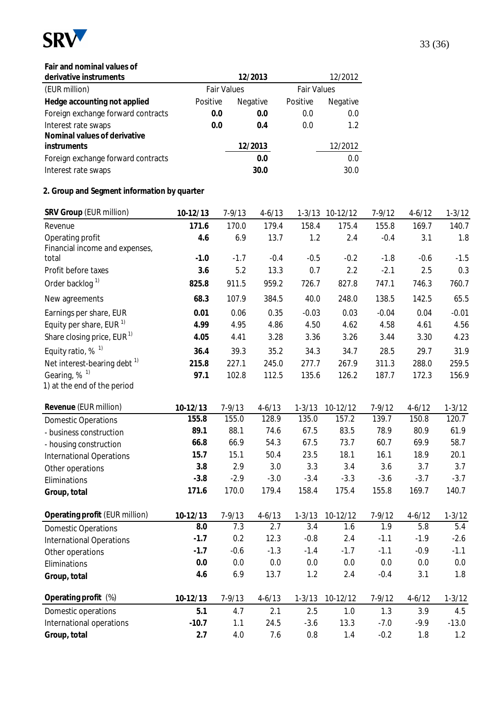

#### **Fair and nominal values of**

| derivative instruments                              |          | 12/2013                                  |          | 12/2012         |
|-----------------------------------------------------|----------|------------------------------------------|----------|-----------------|
| (EUR million)                                       |          | <b>Fair Values</b><br><b>Fair Values</b> |          |                 |
| Hedge accounting not applied                        | Positive | Negative                                 | Positive | <b>Negative</b> |
| Foreign exchange forward contracts                  | 0.0      | 0.0                                      | 0.0      | 0.0             |
| Interest rate swaps<br>Nominal values of derivative | 0.0      | 0.4                                      | 0.0      | 1.2             |
| instruments                                         |          | 12/2013                                  |          | 12/2012         |
| Foreign exchange forward contracts                  |          | 0.0                                      |          | 0.0             |
| Interest rate swaps                                 |          | 30.0                                     |          | 30.0            |

### **2. Group and Segment information by quarter**

| SRV Group (EUR million)                 | 10-12/13        | $7 - 9/13$        | $4 - 6/13$        |                   | 1-3/13 10-12/12 | $7 - 9/12$        | $4 - 6/12$        | $1 - 3/12$        |
|-----------------------------------------|-----------------|-------------------|-------------------|-------------------|-----------------|-------------------|-------------------|-------------------|
| Revenue                                 | 171.6           | 170.0             | 179.4             | 158.4             | 175.4           | 155.8             | 169.7             | 140.7             |
| Operating profit                        | 4.6             | 6.9               | 13.7              | 1.2               | 2.4             | $-0.4$            | 3.1               | 1.8               |
| Financial income and expenses,          |                 |                   |                   |                   |                 |                   |                   |                   |
| total                                   | $-1.0$          | $-1.7$            | $-0.4$            | $-0.5$            | $-0.2$          | $-1.8$            | $-0.6$            | $-1.5$            |
| Profit before taxes                     | 3.6             | 5.2               | 13.3              | 0.7               | 2.2             | $-2.1$            | 2.5               | 0.3               |
| Order backlog <sup>1)</sup>             | 825.8           | 911.5             | 959.2             | 726.7             | 827.8           | 747.1             | 746.3             | 760.7             |
| New agreements                          | 68.3            | 107.9             | 384.5             | 40.0              | 248.0           | 138.5             | 142.5             | 65.5              |
| Earnings per share, EUR                 | 0.01            | 0.06              | 0.35              | $-0.03$           | 0.03            | $-0.04$           | 0.04              | $-0.01$           |
| Equity per share, EUR <sup>1)</sup>     | 4.99            | 4.95              | 4.86              | 4.50              | 4.62            | 4.58              | 4.61              | 4.56              |
| Share closing price, EUR <sup>1)</sup>  | 4.05            | 4.41              | 3.28              | 3.36              | 3.26            | 3.44              | 3.30              | 4.23              |
| Equity ratio, $%$ <sup>1)</sup>         | 36.4            | 39.3              | 35.2              | 34.3              | 34.7            | 28.5              | 29.7              | 31.9              |
| Net interest-bearing debt <sup>1)</sup> | 215.8           | 227.1             | 245.0             | 277.7             | 267.9           | 311.3             | 288.0             | 259.5             |
| Gearing, % <sup>1)</sup>                | 97.1            | 102.8             | 112.5             | 135.6             | 126.2           | 187.7             | 172.3             | 156.9             |
| 1) at the end of the period             |                 |                   |                   |                   |                 |                   |                   |                   |
| Revenue (EUR million)                   | $10-12/13$      | $7 - 9/13$        | $4 - 6/13$        | $1 - 3/13$        | 10-12/12        | $7 - 9/12$        | $4 - 6/12$        | $1 - 3/12$        |
| <b>Domestic Operations</b>              | 155.8           | 155.0             | 128.9             | 135.0             | 157.2           | 139.7             | 150.8             | 120.7             |
| - business construction                 | 89.1            | 88.1              | 74.6              | 67.5              | 83.5            | 78.9              | 80.9              | 61.9              |
| - housing construction                  | 66.8            | 66.9              | 54.3              | 67.5              | 73.7            | 60.7              | 69.9              | 58.7              |
| <b>International Operations</b>         | 15.7            | 15.1              | 50.4              | 23.5              | 18.1            | 16.1              | 18.9              | 20.1              |
| Other operations                        | 3.8             | 2.9               | 3.0               | 3.3               | 3.4             | 3.6               | 3.7               | 3.7               |
| Eliminations                            | $-3.8$          | $-2.9$            | $-3.0$            | $-3.4$            | $-3.3$          | $-3.6$            | $-3.7$            | $-3.7$            |
| Group, total                            | 171.6           | 170.0             | 179.4             | 158.4             | 175.4           | 155.8             | 169.7             | 140.7             |
|                                         |                 |                   |                   |                   |                 |                   |                   |                   |
| Operating profit (EUR million)          | 10-12/13<br>8.0 | $7 - 9/13$<br>7.3 | $4 - 6/13$<br>2.7 | $1 - 3/13$<br>3.4 | 10-12/12<br>1.6 | $7 - 9/12$<br>1.9 | $4 - 6/12$<br>5.8 | $1 - 3/12$<br>5.4 |
| <b>Domestic Operations</b>              | $-1.7$          | 0.2               | 12.3              | $-0.8$            | 2.4             | $-1.1$            | $-1.9$            | $-2.6$            |
| International Operations                | $-1.7$          | $-0.6$            | $-1.3$            | $-1.4$            | $-1.7$          | $-1.1$            | $-0.9$            | $-1.1$            |
| Other operations                        | 0.0             | 0.0               | $0.0\,$           | $0.0\,$           | 0.0             | 0.0               | 0.0               | 0.0               |
| Eliminations                            | 4.6             | 6.9               | 13.7              | 1.2               | 2.4             | $-0.4$            | 3.1               | 1.8               |
| Group, total                            |                 |                   |                   |                   |                 |                   |                   |                   |
| Operating profit (%)                    | 10-12/13        | $7 - 9/13$        | $4 - 6/13$        | $1 - 3/13$        | 10-12/12        | $7 - 9/12$        | $4 - 6/12$        | $1 - 3/12$        |
| Domestic operations                     | 5.1             | 4.7               | 2.1               | 2.5               | 1.0             | 1.3               | 3.9               | 4.5               |
| International operations                | $-10.7$         | 1.1               | 24.5              | $-3.6$            | 13.3            | $-7.0$            | $-9.9$            | $-13.0$           |
| Group, total                            | 2.7             | 4.0               | 7.6               | 0.8               | 1.4             | $-0.2$            | 1.8               | 1.2               |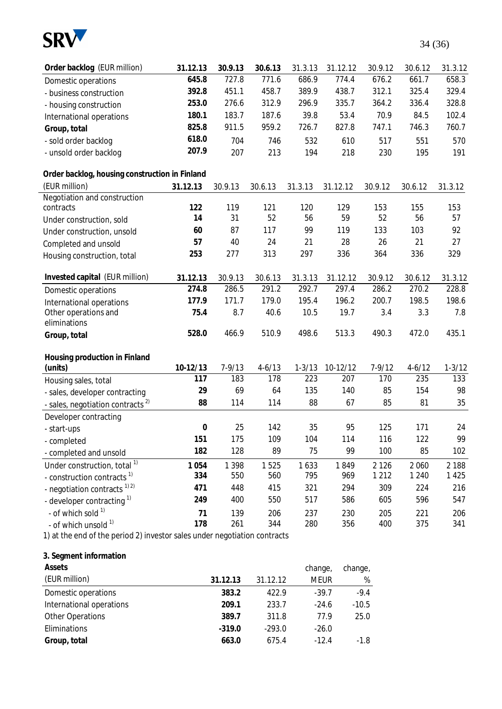

| Order backlog (EUR million)                                               | 31.12.13         | 30.9.13    | 30.6.13    | 31.3.13    | 31.12.12 | 30.9.12    | 30.6.12    | 31.3.12    |
|---------------------------------------------------------------------------|------------------|------------|------------|------------|----------|------------|------------|------------|
| Domestic operations                                                       | 645.8            | 727.8      | 771.6      | 686.9      | 774.4    | 676.2      | 661.7      | 658.3      |
| - business construction                                                   | 392.8            | 451.1      | 458.7      | 389.9      | 438.7    | 312.1      | 325.4      | 329.4      |
| - housing construction                                                    | 253.0            | 276.6      | 312.9      | 296.9      | 335.7    | 364.2      | 336.4      | 328.8      |
| International operations                                                  | 180.1            | 183.7      | 187.6      | 39.8       | 53.4     | 70.9       | 84.5       | 102.4      |
| Group, total                                                              | 825.8            | 911.5      | 959.2      | 726.7      | 827.8    | 747.1      | 746.3      | 760.7      |
| - sold order backlog                                                      | 618.0            | 704        | 746        | 532        | 610      | 517        | 551        | 570        |
| - unsold order backlog                                                    | 207.9            | 207        | 213        | 194        | 218      | 230        | 195        | 191        |
| Order backlog, housing construction in Finland                            |                  |            |            |            |          |            |            |            |
| (EUR million)                                                             | 31.12.13         | 30.9.13    | 30.6.13    | 31.3.13    | 31.12.12 | 30.9.12    | 30.6.12    | 31.3.12    |
| Negotiation and construction                                              |                  |            |            |            |          |            |            |            |
| contracts                                                                 | 122              | 119        | 121        | 120        | 129      | 153        | 155        | 153        |
| Under construction, sold                                                  | 14               | 31         | 52         | 56         | 59       | 52         | 56         | 57         |
| Under construction, unsold                                                | 60               | 87         | 117        | 99         | 119      | 133        | 103        | 92         |
| Completed and unsold                                                      | 57               | 40         | 24         | 21         | 28       | 26         | 21         | 27         |
| Housing construction, total                                               | 253              | 277        | 313        | 297        | 336      | 364        | 336        | 329        |
| Invested capital (EUR million)                                            | 31.12.13         | 30.9.13    | 30.6.13    | 31.3.13    | 31.12.12 | 30.9.12    | 30.6.12    | 31.3.12    |
| Domestic operations                                                       | 274.8            | 286.5      | 291.2      | 292.7      | 297.4    | 286.2      | 270.2      | 228.8      |
| International operations                                                  | 177.9            | 171.7      | 179.0      | 195.4      | 196.2    | 200.7      | 198.5      | 198.6      |
| Other operations and                                                      | 75.4             | 8.7        | 40.6       | 10.5       | 19.7     | 3.4        | 3.3        | 7.8        |
| eliminations                                                              |                  |            |            |            |          |            |            |            |
| Group, total                                                              | 528.0            | 466.9      | 510.9      | 498.6      | 513.3    | 490.3      | 472.0      | 435.1      |
| Housing production in Finland                                             |                  |            |            |            |          |            |            |            |
| (units)                                                                   | 10-12/13         | $7 - 9/13$ | $4 - 6/13$ | $1 - 3/13$ | 10-12/12 | $7 - 9/12$ | $4 - 6/12$ | $1 - 3/12$ |
| Housing sales, total                                                      | 117              | 183        | 178        | 223        | 207      | 170        | 235        | 133        |
| - sales, developer contracting                                            | 29               | 69         | 64         | 135        | 140      | 85         | 154        | 98         |
| - sales, negotiation contracts <sup>2)</sup>                              | 88               | 114        | 114        | 88         | 67       | 85         | 81         | 35         |
| Developer contracting                                                     |                  |            |            |            |          |            |            |            |
| - start-ups                                                               | $\boldsymbol{0}$ | 25         | 142        | 35         | 95       | 125        | 171        | 24         |
| - completed                                                               | 151              | 175        | 109        | 104        | 114      | 116        | 122        | 99         |
| - completed and unsold                                                    | 182              | 128        | 89         | 75         | 99       | 100        | 85         | 102        |
| Under construction, total <sup>1)</sup>                                   | 1 0 5 4          | 1 3 9 8    | 1525       | 1633       | 1849     | 2 1 2 6    | 2 0 6 0    | 2 1 8 8    |
| - construction contracts <sup>1)</sup>                                    | 334              | 550        | 560        | 795        | 969      | 1 2 1 2    | 1 2 4 0    | 1 4 2 5    |
| - negotiation contracts <sup>1)2)</sup>                                   | 471              | 448        | 415        | 321        | 294      | 309        | 224        | 216        |
| - developer contracting <sup>1)</sup>                                     | 249              | 400        | 550        | 517        | 586      | 605        | 596        | 547        |
| - of which sold 1)                                                        | 71               | 139        | 206        | 237        | 230      | 205        | 221        | 206        |
| - of which unsold 1)                                                      | 178              | 261        | 344        | 280        | 356      | 400        | 375        | 341        |
| 1) at the end of the period 2) investor sales under negotiation contracts |                  |            |            |            |          |            |            |            |

#### **3. Segment information**

| Assets                   |          |          | change,     | change, |
|--------------------------|----------|----------|-------------|---------|
| (EUR million)            | 31.12.13 | 31.12.12 | <b>MEUR</b> | %       |
| Domestic operations      | 383.2    | 422.9    | $-39.7$     | $-9.4$  |
| International operations | 209.1    | 233.7    | $-24.6$     | $-10.5$ |
| <b>Other Operations</b>  | 389.7    | 311.8    | 77.9        | 25.0    |
| Eliminations             | $-319.0$ | $-293.0$ | $-26.0$     |         |
| Group, total             | 663.0    | 675.4    | $-12.4$     | $-1.8$  |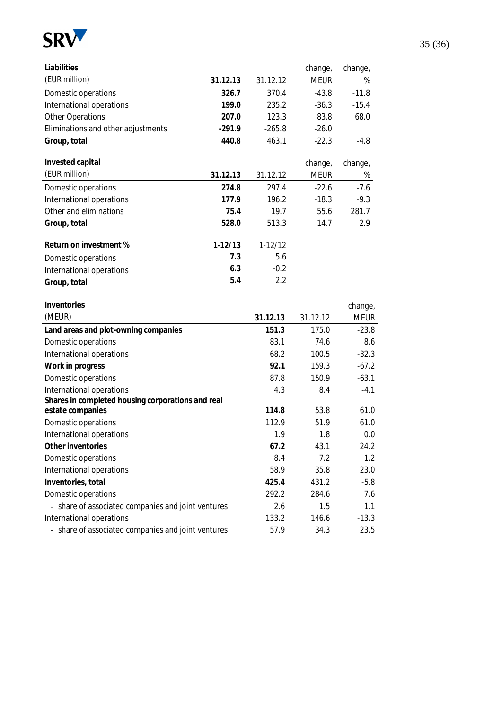

| Liabilities                                        |           |           | change,     | change,     |
|----------------------------------------------------|-----------|-----------|-------------|-------------|
| (EUR million)                                      | 31.12.13  | 31.12.12  | <b>MEUR</b> | %           |
| Domestic operations                                | 326.7     | 370.4     | $-43.8$     | $-11.8$     |
| International operations                           | 199.0     | 235.2     | $-36.3$     | $-15.4$     |
| <b>Other Operations</b>                            | 207.0     | 123.3     | 83.8        | 68.0        |
| Eliminations and other adjustments                 | $-291.9$  | $-265.8$  | $-26.0$     |             |
| Group, total                                       | 440.8     | 463.1     | $-22.3$     | $-4.8$      |
| Invested capital                                   |           |           | change,     | change,     |
| (EUR million)                                      | 31.12.13  | 31.12.12  | <b>MEUR</b> | %           |
| Domestic operations                                | 274.8     | 297.4     | $-22.6$     | $-7.6$      |
| International operations                           | 177.9     | 196.2     | $-18.3$     | $-9.3$      |
| Other and eliminations                             | 75.4      | 19.7      | 55.6        | 281.7       |
| Group, total                                       | 528.0     | 513.3     | 14.7        | 2.9         |
| Return on investment %                             | $1-12/13$ | $1-12/12$ |             |             |
| Domestic operations                                | 7.3       | 5.6       |             |             |
| International operations                           | 6.3       | $-0.2$    |             |             |
| Group, total                                       | 5.4       | 2.2       |             |             |
| Inventories                                        |           |           |             | change,     |
| (MEUR)                                             |           | 31.12.13  | 31.12.12    | <b>MEUR</b> |
| Land areas and plot-owning companies               |           | 151.3     | 175.0       | $-23.8$     |
| Domestic operations                                |           | 83.1      | 74.6        | 8.6         |
| International operations                           |           | 68.2      | 100.5       | $-32.3$     |
| Work in progress                                   |           | 92.1      | 159.3       | $-67.2$     |
| Domestic operations                                |           | 87.8      | 150.9       | $-63.1$     |
| International operations                           |           | 4.3       | 8.4         | $-4.1$      |
| Shares in completed housing corporations and real  |           |           |             |             |
| estate companies                                   |           | 114.8     | 53.8        | 61.0        |
| Domestic operations                                |           | 112.9     | 51.9        | 61.0        |
| International operations                           |           | 1.9       | 1.8         | 0.0         |
| Other inventories                                  |           | 67.2      | 43.1        | 24.2        |
| Domestic operations                                |           | 8.4       | 7.2         | 1.2         |
| International operations                           |           | 58.9      | 35.8        | 23.0        |
| Inventories, total                                 |           | 425.4     | 431.2       | $-5.8$      |
| Domestic operations                                |           | 292.2     | 284.6       | 7.6         |
| - share of associated companies and joint ventures |           | 2.6       | 1.5         | 1.1         |
| International operations                           |           | 133.2     | 146.6       | $-13.3$     |
| - share of associated companies and joint ventures |           | 57.9      | 34.3        | 23.5        |